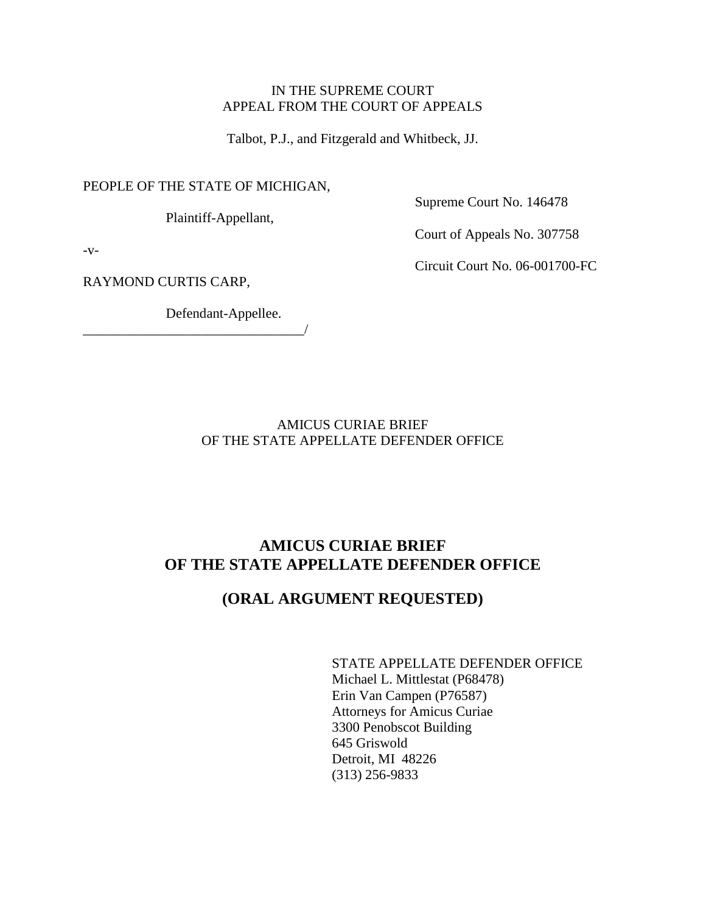## IN THE SUPREME COURT APPEAL FROM THE COURT OF APPEALS

Talbot, P.J., and Fitzgerald and Whitbeck, JJ.

PEOPLE OF THE STATE OF MICHIGAN,

Plaintiff-Appellant,

Supreme Court No. 146478

Court of Appeals No. 307758

 $-V-$ 

RAYMOND CURTIS CARP,

Defendant-Appellee.

\_\_\_\_\_\_\_\_\_\_\_\_\_\_\_\_\_\_\_\_\_\_\_\_\_\_\_\_\_\_\_\_/

Circuit Court No. 06-001700-FC

AMICUS CURIAE BRIEF OF THE STATE APPELLATE DEFENDER OFFICE

# **AMICUS CURIAE BRIEF OF THE STATE APPELLATE DEFENDER OFFICE**

# **(ORAL ARGUMENT REQUESTED)**

STATE APPELLATE DEFENDER OFFICE Michael L. Mittlestat (P68478) Erin Van Campen (P76587) Attorneys for Amicus Curiae 3300 Penobscot Building 645 Griswold Detroit, MI 48226 (313) 256-9833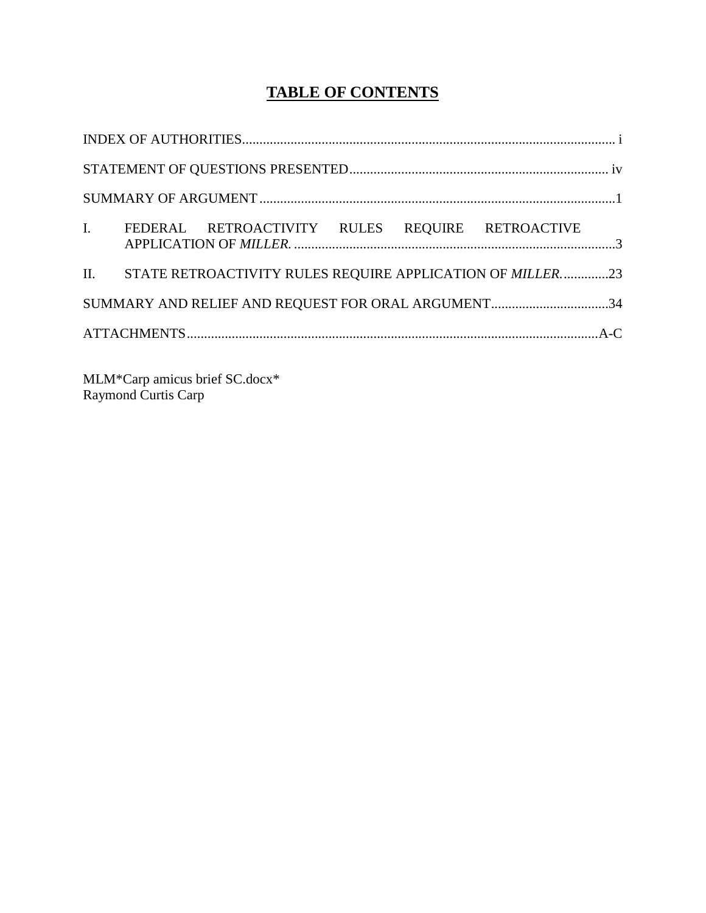# **TABLE OF CONTENTS**

| I. |  | FEDERAL RETROACTIVITY RULES REQUIRE RETROACTIVE                        |  |  |  |  |
|----|--|------------------------------------------------------------------------|--|--|--|--|
|    |  | II. STATE RETROACTIVITY RULES REQUIRE APPLICATION OF <i>MILLER.</i> 23 |  |  |  |  |
|    |  | SUMMARY AND RELIEF AND REQUEST FOR ORAL ARGUMENT34                     |  |  |  |  |
|    |  |                                                                        |  |  |  |  |

MLM\*Carp amicus brief SC.docx\* Raymond Curtis Carp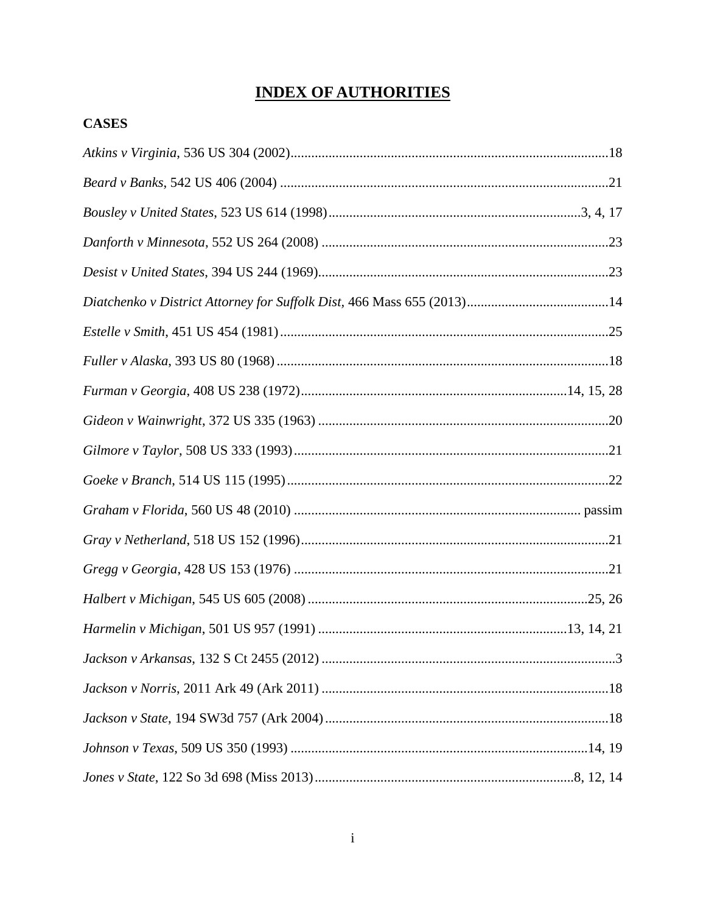# **INDEX OF AUTHORITIES**

# **CASES**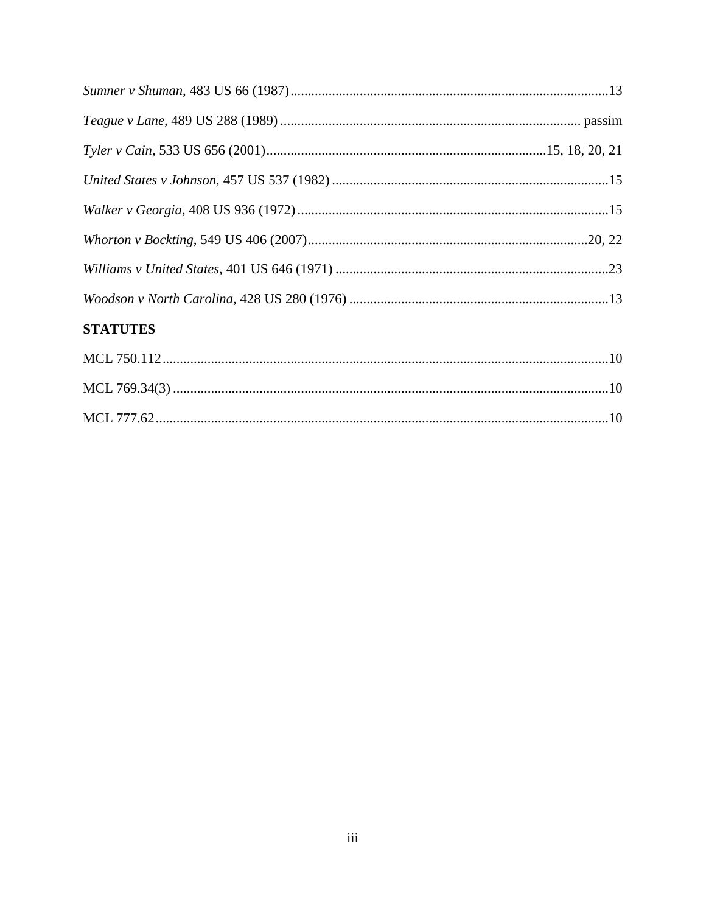| <b>CTATITEC</b> |  |
|-----------------|--|

# **STATUTES**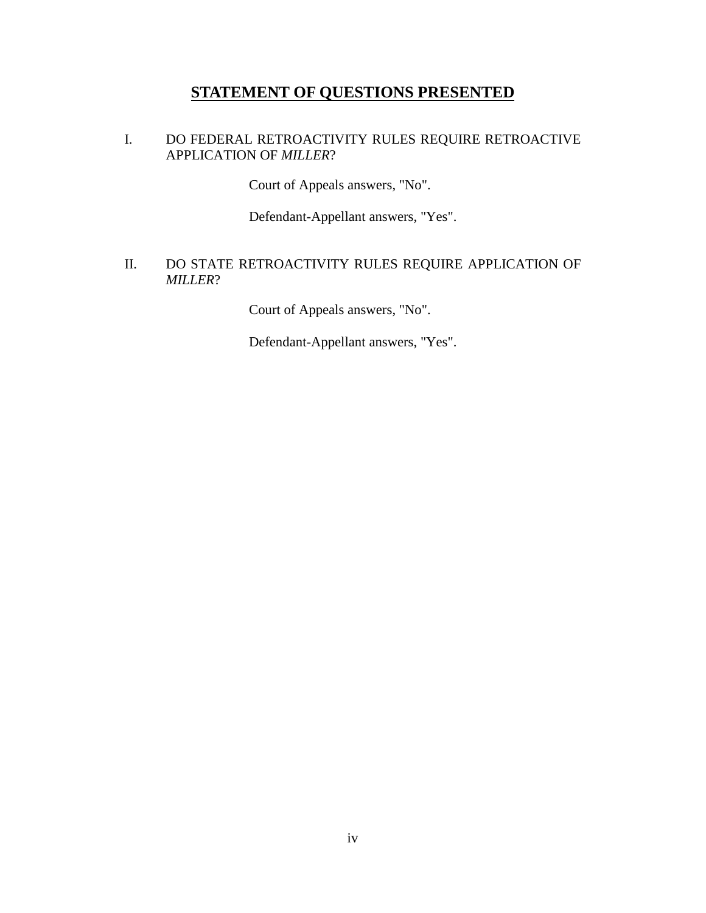# **STATEMENT OF QUESTIONS PRESENTED**

## I. DO FEDERAL RETROACTIVITY RULES REQUIRE RETROACTIVE APPLICATION OF *MILLER*?

Court of Appeals answers, "No".

Defendant-Appellant answers, "Yes".

## II. DO STATE RETROACTIVITY RULES REQUIRE APPLICATION OF *MILLER*?

Court of Appeals answers, "No".

Defendant-Appellant answers, "Yes".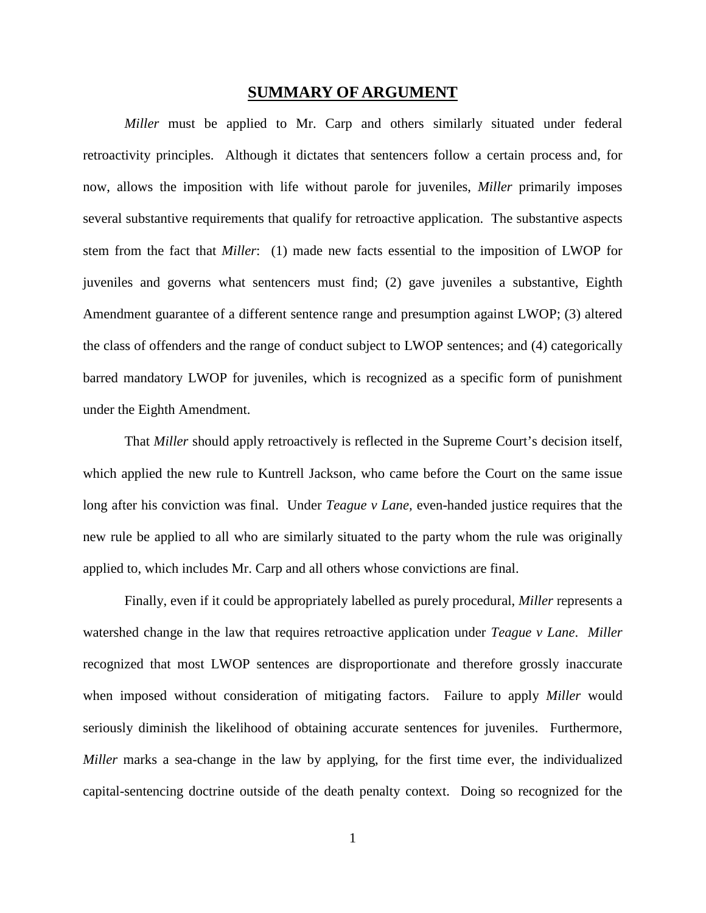#### **SUMMARY OF ARGUMENT**

*Miller* must be applied to Mr. Carp and others similarly situated under federal retroactivity principles. Although it dictates that sentencers follow a certain process and, for now, allows the imposition with life without parole for juveniles, *Miller* primarily imposes several substantive requirements that qualify for retroactive application. The substantive aspects stem from the fact that *Miller*: (1) made new facts essential to the imposition of LWOP for juveniles and governs what sentencers must find; (2) gave juveniles a substantive, Eighth Amendment guarantee of a different sentence range and presumption against LWOP; (3) altered the class of offenders and the range of conduct subject to LWOP sentences; and (4) categorically barred mandatory LWOP for juveniles, which is recognized as a specific form of punishment under the Eighth Amendment.

That *Miller* should apply retroactively is reflected in the Supreme Court's decision itself, which applied the new rule to Kuntrell Jackson*,* who came before the Court on the same issue long after his conviction was final. Under *Teague v Lane,* even-handed justice requires that the new rule be applied to all who are similarly situated to the party whom the rule was originally applied to, which includes Mr. Carp and all others whose convictions are final.

Finally, even if it could be appropriately labelled as purely procedural, *Miller* represents a watershed change in the law that requires retroactive application under *Teague v Lane*. *Miller*  recognized that most LWOP sentences are disproportionate and therefore grossly inaccurate when imposed without consideration of mitigating factors. Failure to apply *Miller* would seriously diminish the likelihood of obtaining accurate sentences for juveniles. Furthermore, *Miller* marks a sea-change in the law by applying, for the first time ever, the individualized capital-sentencing doctrine outside of the death penalty context. Doing so recognized for the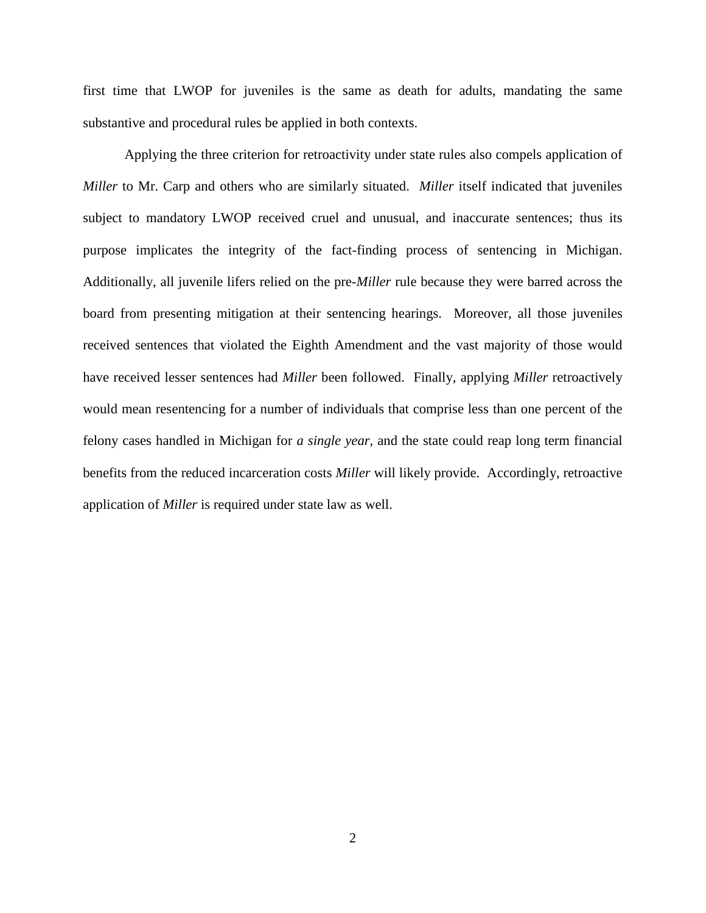first time that LWOP for juveniles is the same as death for adults, mandating the same substantive and procedural rules be applied in both contexts.

Applying the three criterion for retroactivity under state rules also compels application of *Miller* to Mr. Carp and others who are similarly situated. *Miller* itself indicated that juveniles subject to mandatory LWOP received cruel and unusual, and inaccurate sentences; thus its purpose implicates the integrity of the fact-finding process of sentencing in Michigan. Additionally, all juvenile lifers relied on the pre-*Miller* rule because they were barred across the board from presenting mitigation at their sentencing hearings. Moreover, all those juveniles received sentences that violated the Eighth Amendment and the vast majority of those would have received lesser sentences had *Miller* been followed. Finally, applying *Miller* retroactively would mean resentencing for a number of individuals that comprise less than one percent of the felony cases handled in Michigan for *a single year,* and the state could reap long term financial benefits from the reduced incarceration costs *Miller* will likely provide. Accordingly, retroactive application of *Miller* is required under state law as well.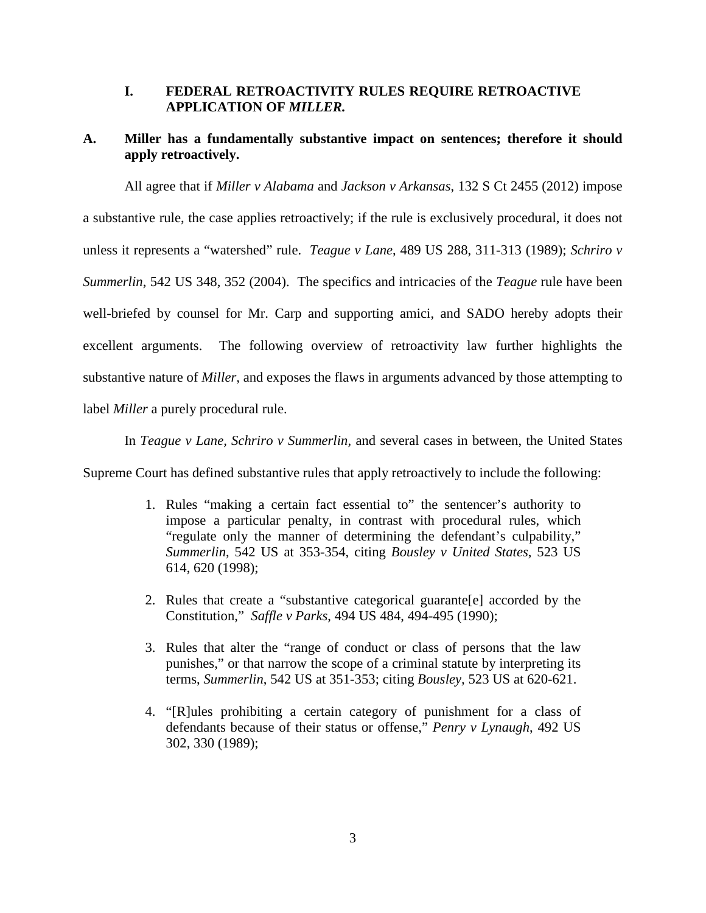#### **I. FEDERAL RETROACTIVITY RULES REQUIRE RETROACTIVE APPLICATION OF** *MILLER.*

## **A. Miller has a fundamentally substantive impact on sentences; therefore it should apply retroactively.**

All agree that if *Miller v Alabama* and *Jackson v Arkansas*, 132 S Ct 2455 (2012) impose a substantive rule, the case applies retroactively; if the rule is exclusively procedural, it does not unless it represents a "watershed" rule. *Teague v Lane*, 489 US 288, 311-313 (1989); *Schriro v Summerlin*, 542 US 348, 352 (2004). The specifics and intricacies of the *Teague* rule have been well-briefed by counsel for Mr. Carp and supporting amici, and SADO hereby adopts their excellent arguments. The following overview of retroactivity law further highlights the substantive nature of *Miller,* and exposes the flaws in arguments advanced by those attempting to label *Miller* a purely procedural rule.

In *Teague v Lane, Schriro v Summerlin,* and several cases in between, the United States

Supreme Court has defined substantive rules that apply retroactively to include the following:

- 1. Rules "making a certain fact essential to" the sentencer's authority to impose a particular penalty, in contrast with procedural rules, which "regulate only the manner of determining the defendant's culpability," *Summerlin*, 542 US at 353-354, citing *Bousley v United States*, 523 US 614, 620 (1998);
- 2. Rules that create a "substantive categorical guarante[e] accorded by the Constitution," *Saffle v Parks*, 494 US 484, 494-495 (1990);
- 3. Rules that alter the "range of conduct or class of persons that the law punishes," or that narrow the scope of a criminal statute by interpreting its terms, *Summerlin*, 542 US at 351-353; citing *Bousley,* 523 US at 620-621.
- 4. "[R]ules prohibiting a certain category of punishment for a class of defendants because of their status or offense," *Penry v Lynaugh*, 492 US 302, 330 (1989);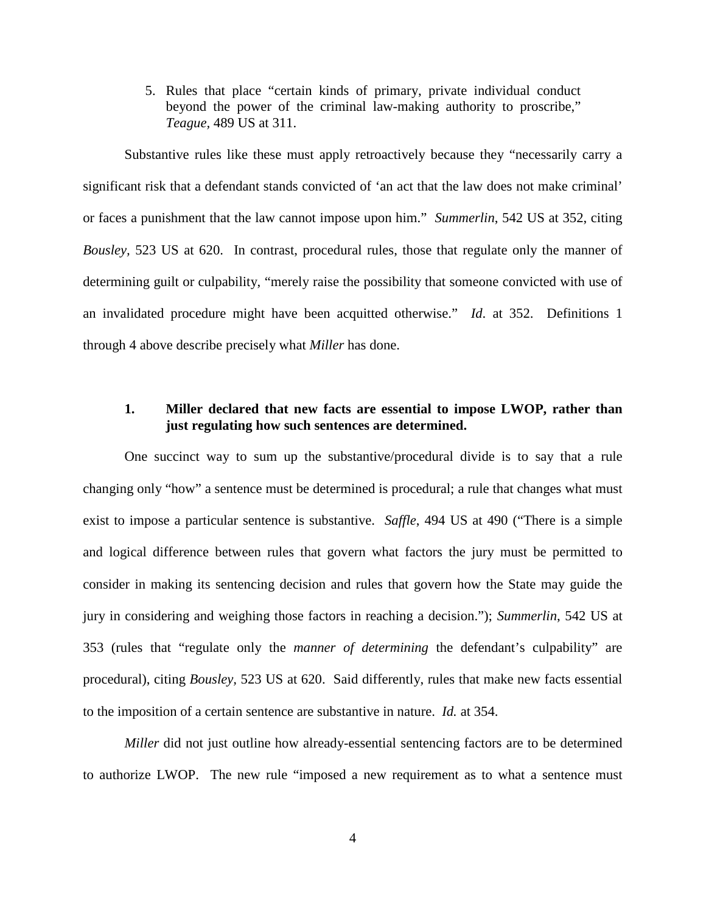5. Rules that place "certain kinds of primary, private individual conduct beyond the power of the criminal law-making authority to proscribe," *Teague,* 489 US at 311.

Substantive rules like these must apply retroactively because they "necessarily carry a significant risk that a defendant stands convicted of 'an act that the law does not make criminal' or faces a punishment that the law cannot impose upon him." *Summerlin*, 542 US at 352, citing *Bousley,* 523 US at 620. In contrast, procedural rules, those that regulate only the manner of determining guilt or culpability, "merely raise the possibility that someone convicted with use of an invalidated procedure might have been acquitted otherwise." *Id*. at 352. Definitions 1 through 4 above describe precisely what *Miller* has done.

#### **1. Miller declared that new facts are essential to impose LWOP, rather than just regulating how such sentences are determined.**

One succinct way to sum up the substantive/procedural divide is to say that a rule changing only "how" a sentence must be determined is procedural; a rule that changes what must exist to impose a particular sentence is substantive. *Saffle*, 494 US at 490 ("There is a simple and logical difference between rules that govern what factors the jury must be permitted to consider in making its sentencing decision and rules that govern how the State may guide the jury in considering and weighing those factors in reaching a decision."); *Summerlin*, 542 US at 353 (rules that "regulate only the *manner of determining* the defendant's culpability" are procedural), citing *Bousley,* 523 US at 620. Said differently, rules that make new facts essential to the imposition of a certain sentence are substantive in nature. *Id.* at 354.

*Miller* did not just outline how already-essential sentencing factors are to be determined to authorize LWOP. The new rule "imposed a new requirement as to what a sentence must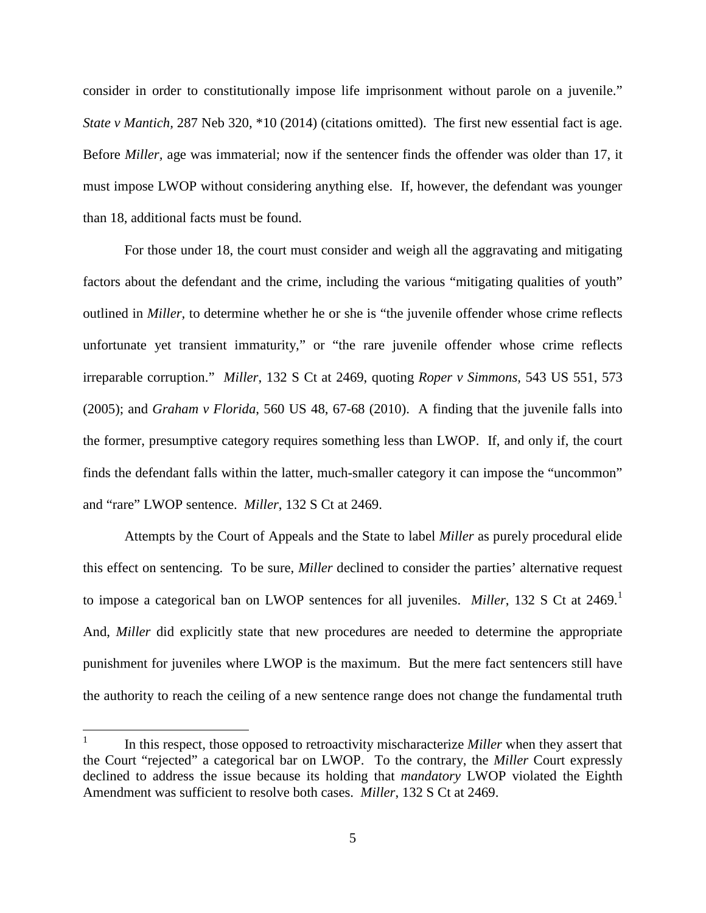consider in order to constitutionally impose life imprisonment without parole on a juvenile." *State v Mantich,* 287 Neb 320, \*10 (2014) (citations omitted). The first new essential fact is age. Before *Miller,* age was immaterial; now if the sentencer finds the offender was older than 17, it must impose LWOP without considering anything else. If, however, the defendant was younger than 18, additional facts must be found.

For those under 18, the court must consider and weigh all the aggravating and mitigating factors about the defendant and the crime, including the various "mitigating qualities of youth" outlined in *Miller,* to determine whether he or she is "the juvenile offender whose crime reflects unfortunate yet transient immaturity," or "the rare juvenile offender whose crime reflects irreparable corruption." *Miller*, 132 S Ct at 2469, quoting *Roper v Simmons,* 543 US 551, 573 (2005); and *Graham v Florida*, 560 US 48, 67-68 (2010). A finding that the juvenile falls into the former, presumptive category requires something less than LWOP. If, and only if, the court finds the defendant falls within the latter, much-smaller category it can impose the "uncommon" and "rare" LWOP sentence. *Miller*, 132 S Ct at 2469.

Attempts by the Court of Appeals and the State to label *Miller* as purely procedural elide this effect on sentencing. To be sure, *Miller* declined to consider the parties' alternative request to impose a categorical ban on LWOP sentences for all juveniles. *Miller*, [1](#page-10-0)32 S Ct at 2469.<sup>1</sup> And, *Miller* did explicitly state that new procedures are needed to determine the appropriate punishment for juveniles where LWOP is the maximum. But the mere fact sentencers still have the authority to reach the ceiling of a new sentence range does not change the fundamental truth

<span id="page-10-0"></span><sup>&</sup>lt;sup>1</sup> In this respect, those opposed to retroactivity mischaracterize *Miller* when they assert that the Court "rejected" a categorical bar on LWOP. To the contrary, the *Miller* Court expressly declined to address the issue because its holding that *mandatory* LWOP violated the Eighth Amendment was sufficient to resolve both cases. *Miller*, 132 S Ct at 2469.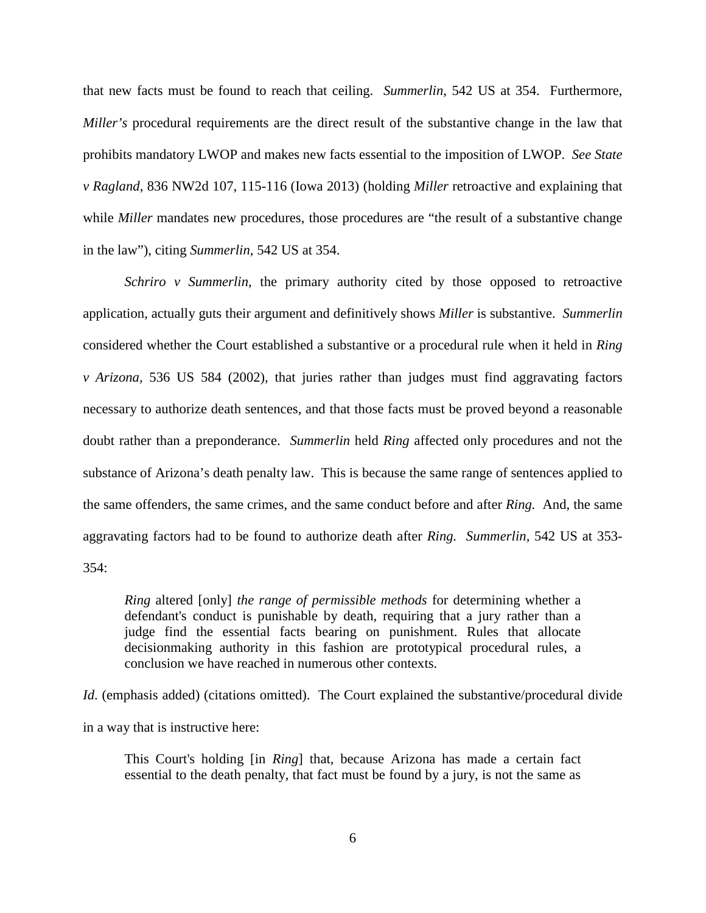that new facts must be found to reach that ceiling. *Summerlin*, 542 US at 354. Furthermore, *Miller's* procedural requirements are the direct result of the substantive change in the law that prohibits mandatory LWOP and makes new facts essential to the imposition of LWOP. *See State v Ragland*, 836 NW2d 107, 115-116 (Iowa 2013) (holding *Miller* retroactive and explaining that while *Miller* mandates new procedures, those procedures are "the result of a substantive change in the law"), citing *Summerlin,* 542 US at 354.

*Schriro v Summerlin*, the primary authority cited by those opposed to retroactive application, actually guts their argument and definitively shows *Miller* is substantive. *Summerlin*  considered whether the Court established a substantive or a procedural rule when it held in *Ring v Arizona,* 536 US 584 (2002), that juries rather than judges must find aggravating factors necessary to authorize death sentences, and that those facts must be proved beyond a reasonable doubt rather than a preponderance. *Summerlin* held *Ring* affected only procedures and not the substance of Arizona's death penalty law. This is because the same range of sentences applied to the same offenders, the same crimes, and the same conduct before and after *Ring.* And, the same aggravating factors had to be found to authorize death after *Ring. Summerlin,* 542 US at 353- 354:

*Ring* altered [only] *the range of permissible methods* for determining whether a defendant's conduct is punishable by death, requiring that a jury rather than a judge find the essential facts bearing on punishment. Rules that allocate decisionmaking authority in this fashion are prototypical procedural rules, a conclusion we have reached in numerous other contexts.

*Id.* (emphasis added) (citations omitted). The Court explained the substantive/procedural divide in a way that is instructive here:

This Court's holding [in *Ring*] that, because Arizona has made a certain fact essential to the death penalty, that fact must be found by a jury, is not the same as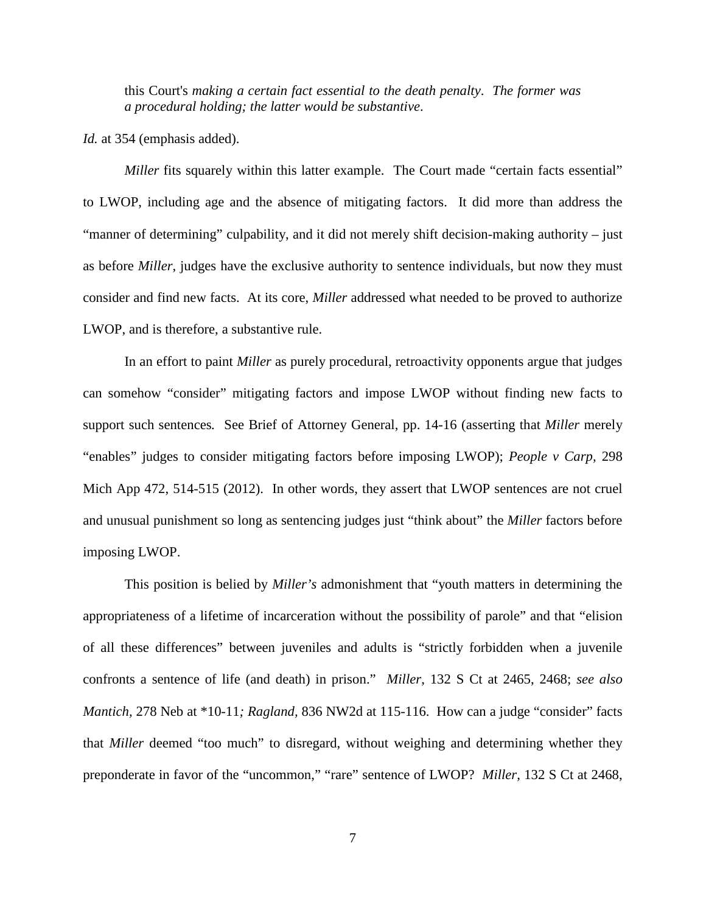this Court's *making a certain fact essential to the death penalty*. *The former was a procedural holding; the latter would be substantive*.

*Id.* at 354 (emphasis added).

*Miller* fits squarely within this latter example. The Court made "certain facts essential" to LWOP, including age and the absence of mitigating factors. It did more than address the "manner of determining" culpability, and it did not merely shift decision-making authority – just as before *Miller*, judges have the exclusive authority to sentence individuals, but now they must consider and find new facts. At its core, *Miller* addressed what needed to be proved to authorize LWOP, and is therefore, a substantive rule.

In an effort to paint *Miller* as purely procedural, retroactivity opponents argue that judges can somehow "consider" mitigating factors and impose LWOP without finding new facts to support such sentences*.* See Brief of Attorney General, pp. 14-16 (asserting that *Miller* merely "enables" judges to consider mitigating factors before imposing LWOP); *People v Carp,* 298 Mich App 472, 514-515 (2012). In other words, they assert that LWOP sentences are not cruel and unusual punishment so long as sentencing judges just "think about" the *Miller* factors before imposing LWOP.

This position is belied by *Miller's* admonishment that "youth matters in determining the appropriateness of a lifetime of incarceration without the possibility of parole" and that "elision of all these differences" between juveniles and adults is "strictly forbidden when a juvenile confronts a sentence of life (and death) in prison." *Miller*, 132 S Ct at 2465, 2468; *see also Mantich,* 278 Neb at \*10-11*; Ragland,* 836 NW2d at 115-116. How can a judge "consider" facts that *Miller* deemed "too much" to disregard, without weighing and determining whether they preponderate in favor of the "uncommon," "rare" sentence of LWOP? *Miller*, 132 S Ct at 2468,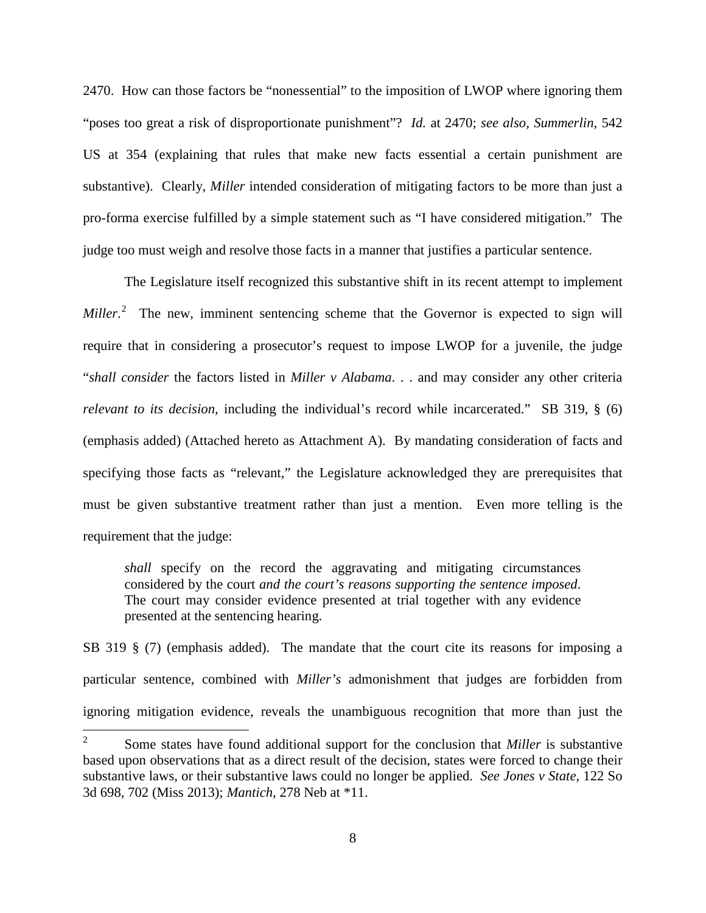2470. How can those factors be "nonessential" to the imposition of LWOP where ignoring them "poses too great a risk of disproportionate punishment"? *Id.* at 2470; *see also, Summerlin*, 542 US at 354 (explaining that rules that make new facts essential a certain punishment are substantive). Clearly, *Miller* intended consideration of mitigating factors to be more than just a pro-forma exercise fulfilled by a simple statement such as "I have considered mitigation." The judge too must weigh and resolve those facts in a manner that justifies a particular sentence.

The Legislature itself recognized this substantive shift in its recent attempt to implement *Miller*.<sup>[2](#page-13-0)</sup> The new, imminent sentencing scheme that the Governor is expected to sign will require that in considering a prosecutor's request to impose LWOP for a juvenile, the judge "*shall consider* the factors listed in *Miller v Alabama*. . . and may consider any other criteria *relevant to its decision*, including the individual's record while incarcerated." SB 319, § (6) (emphasis added) (Attached hereto as Attachment A). By mandating consideration of facts and specifying those facts as "relevant," the Legislature acknowledged they are prerequisites that must be given substantive treatment rather than just a mention. Even more telling is the requirement that the judge:

*shall* specify on the record the aggravating and mitigating circumstances considered by the court *and the court's reasons supporting the sentence imposed*. The court may consider evidence presented at trial together with any evidence presented at the sentencing hearing.

SB 319 § (7) (emphasis added). The mandate that the court cite its reasons for imposing a particular sentence, combined with *Miller's* admonishment that judges are forbidden from ignoring mitigation evidence, reveals the unambiguous recognition that more than just the

<span id="page-13-0"></span><sup>&</sup>lt;sup>2</sup> Some states have found additional support for the conclusion that *Miller* is substantive based upon observations that as a direct result of the decision, states were forced to change their substantive laws, or their substantive laws could no longer be applied. *See Jones v State*, 122 So 3d 698, 702 (Miss 2013); *Mantich,* 278 Neb at \*11.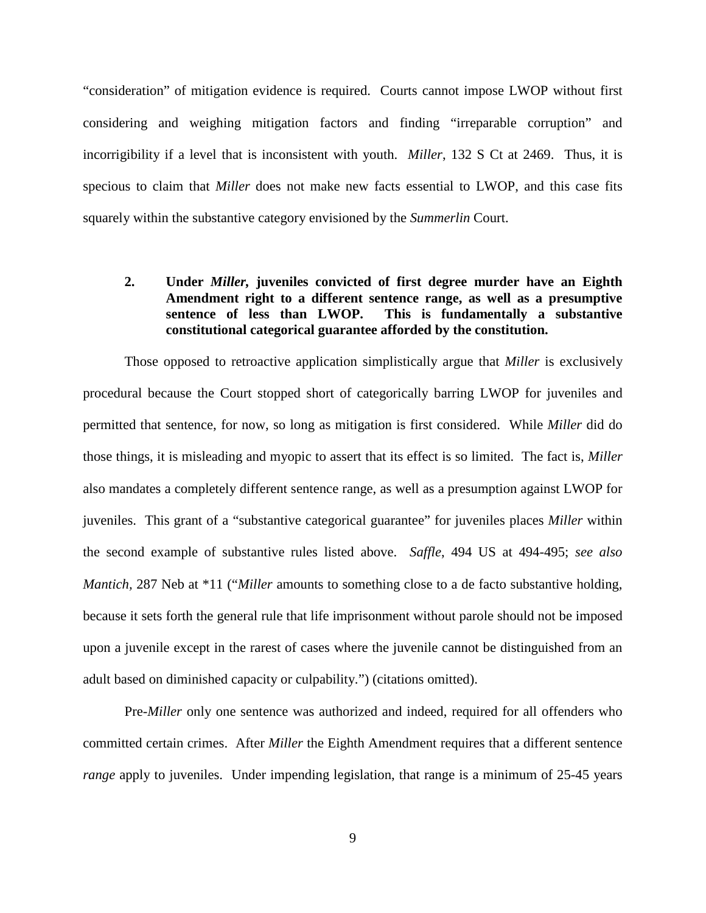"consideration" of mitigation evidence is required. Courts cannot impose LWOP without first considering and weighing mitigation factors and finding "irreparable corruption" and incorrigibility if a level that is inconsistent with youth. *Miller*, 132 S Ct at 2469. Thus, it is specious to claim that *Miller* does not make new facts essential to LWOP, and this case fits squarely within the substantive category envisioned by the *Summerlin* Court.

## **2. Under** *Miller,* **juveniles convicted of first degree murder have an Eighth Amendment right to a different sentence range, as well as a presumptive sentence of less than LWOP. This is fundamentally a substantive constitutional categorical guarantee afforded by the constitution.**

Those opposed to retroactive application simplistically argue that *Miller* is exclusively procedural because the Court stopped short of categorically barring LWOP for juveniles and permitted that sentence, for now, so long as mitigation is first considered. While *Miller* did do those things, it is misleading and myopic to assert that its effect is so limited. The fact is, *Miller*  also mandates a completely different sentence range, as well as a presumption against LWOP for juveniles. This grant of a "substantive categorical guarantee" for juveniles places *Miller* within the second example of substantive rules listed above. *Saffle*, 494 US at 494-495; *see also Mantich,* 287 Neb at \*11 ("*Miller* amounts to something close to a de facto substantive holding, because it sets forth the general rule that life imprisonment without parole should not be imposed upon a juvenile except in the rarest of cases where the juvenile cannot be distinguished from an adult based on diminished capacity or culpability.") (citations omitted).

Pre-*Miller* only one sentence was authorized and indeed, required for all offenders who committed certain crimes. After *Miller* the Eighth Amendment requires that a different sentence *range* apply to juveniles. Under impending legislation, that range is a minimum of 25-45 years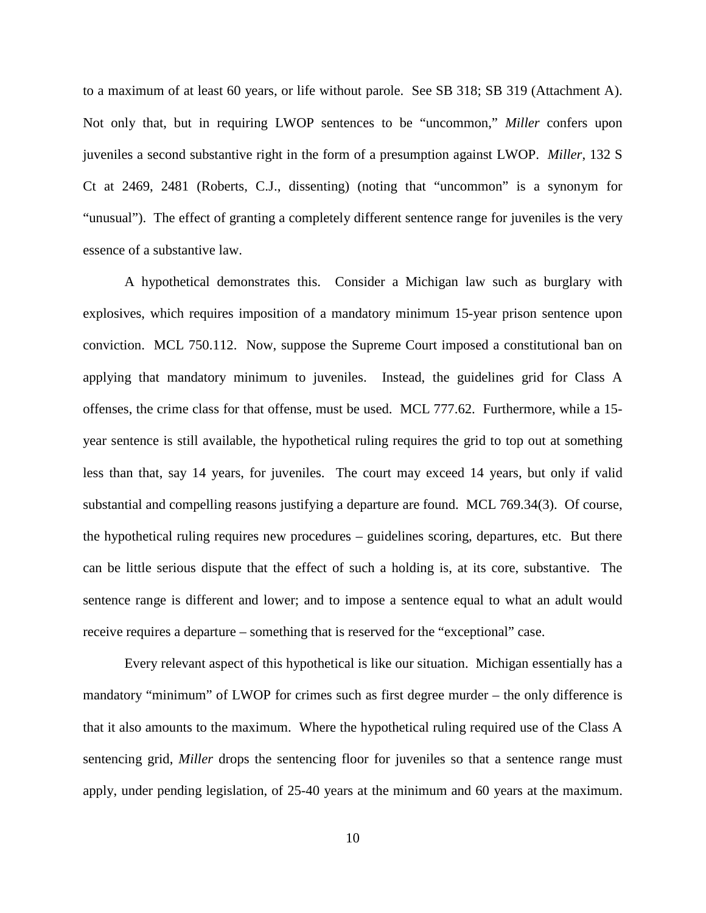to a maximum of at least 60 years, or life without parole. See SB 318; SB 319 (Attachment A). Not only that, but in requiring LWOP sentences to be "uncommon," *Miller* confers upon juveniles a second substantive right in the form of a presumption against LWOP. *Miller*, 132 S Ct at 2469, 2481 (Roberts, C.J., dissenting) (noting that "uncommon" is a synonym for "unusual"). The effect of granting a completely different sentence range for juveniles is the very essence of a substantive law.

A hypothetical demonstrates this. Consider a Michigan law such as burglary with explosives, which requires imposition of a mandatory minimum 15-year prison sentence upon conviction. MCL 750.112. Now, suppose the Supreme Court imposed a constitutional ban on applying that mandatory minimum to juveniles. Instead, the guidelines grid for Class A offenses, the crime class for that offense, must be used. MCL 777.62. Furthermore, while a 15 year sentence is still available, the hypothetical ruling requires the grid to top out at something less than that, say 14 years, for juveniles. The court may exceed 14 years, but only if valid substantial and compelling reasons justifying a departure are found. MCL 769.34(3). Of course, the hypothetical ruling requires new procedures – guidelines scoring, departures, etc. But there can be little serious dispute that the effect of such a holding is, at its core, substantive. The sentence range is different and lower; and to impose a sentence equal to what an adult would receive requires a departure – something that is reserved for the "exceptional" case.

Every relevant aspect of this hypothetical is like our situation. Michigan essentially has a mandatory "minimum" of LWOP for crimes such as first degree murder – the only difference is that it also amounts to the maximum. Where the hypothetical ruling required use of the Class A sentencing grid, *Miller* drops the sentencing floor for juveniles so that a sentence range must apply, under pending legislation, of 25-40 years at the minimum and 60 years at the maximum.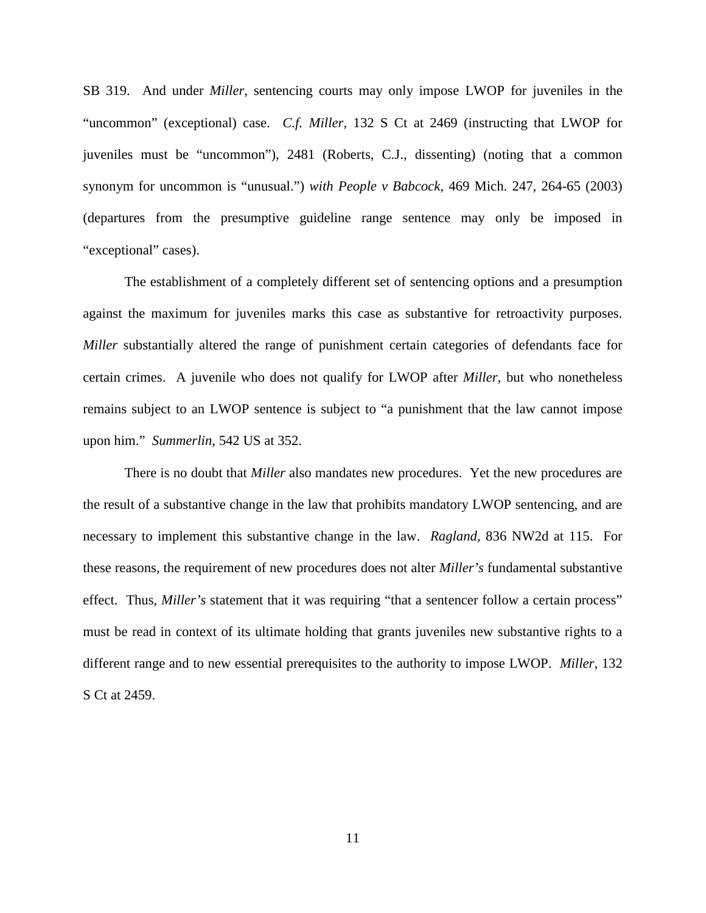SB 319. And under *Miller,* sentencing courts may only impose LWOP for juveniles in the "uncommon" (exceptional) case. *C.f. Miller*, 132 S Ct at 2469 (instructing that LWOP for juveniles must be "uncommon"), 2481 (Roberts, C.J., dissenting) (noting that a common synonym for uncommon is "unusual.") *with People v Babcock*, 469 Mich. 247, 264-65 (2003) (departures from the presumptive guideline range sentence may only be imposed in "exceptional" cases).

The establishment of a completely different set of sentencing options and a presumption against the maximum for juveniles marks this case as substantive for retroactivity purposes. *Miller* substantially altered the range of punishment certain categories of defendants face for certain crimes. A juvenile who does not qualify for LWOP after *Miller*, but who nonetheless remains subject to an LWOP sentence is subject to "a punishment that the law cannot impose upon him." *Summerlin*, 542 US at 352.

There is no doubt that *Miller* also mandates new procedures. Yet the new procedures are the result of a substantive change in the law that prohibits mandatory LWOP sentencing, and are necessary to implement this substantive change in the law. *Ragland,* 836 NW2d at 115. For these reasons, the requirement of new procedures does not alter *Miller's* fundamental substantive effect. Thus, *Miller's* statement that it was requiring "that a sentencer follow a certain process" must be read in context of its ultimate holding that grants juveniles new substantive rights to a different range and to new essential prerequisites to the authority to impose LWOP. *Miller,* 132 S Ct at 2459.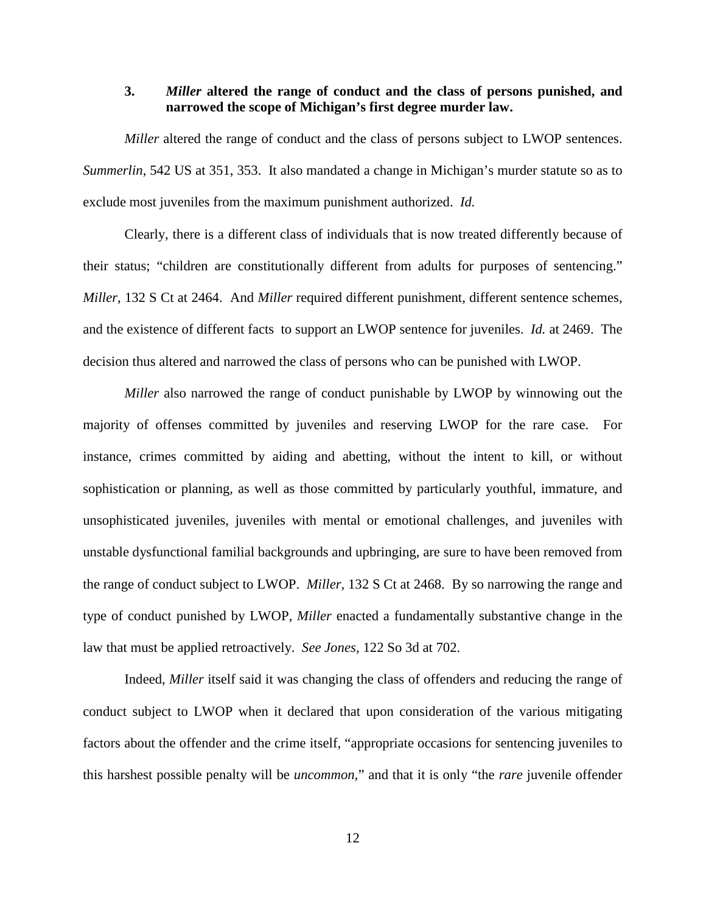#### **3.** *Miller* **altered the range of conduct and the class of persons punished, and narrowed the scope of Michigan's first degree murder law.**

*Miller* altered the range of conduct and the class of persons subject to LWOP sentences. *Summerlin*, 542 US at 351, 353. It also mandated a change in Michigan's murder statute so as to exclude most juveniles from the maximum punishment authorized. *Id.* 

Clearly, there is a different class of individuals that is now treated differently because of their status; "children are constitutionally different from adults for purposes of sentencing." *Miller*, 132 S Ct at 2464. And *Miller* required different punishment, different sentence schemes, and the existence of different facts to support an LWOP sentence for juveniles. *Id.* at 2469. The decision thus altered and narrowed the class of persons who can be punished with LWOP.

*Miller* also narrowed the range of conduct punishable by LWOP by winnowing out the majority of offenses committed by juveniles and reserving LWOP for the rare case. For instance, crimes committed by aiding and abetting, without the intent to kill, or without sophistication or planning, as well as those committed by particularly youthful, immature, and unsophisticated juveniles, juveniles with mental or emotional challenges, and juveniles with unstable dysfunctional familial backgrounds and upbringing, are sure to have been removed from the range of conduct subject to LWOP. *Miller,* 132 S Ct at 2468.By so narrowing the range and type of conduct punished by LWOP, *Miller* enacted a fundamentally substantive change in the law that must be applied retroactively. *See Jones,* 122 So 3d at 702.

Indeed, *Miller* itself said it was changing the class of offenders and reducing the range of conduct subject to LWOP when it declared that upon consideration of the various mitigating factors about the offender and the crime itself, "appropriate occasions for sentencing juveniles to this harshest possible penalty will be *uncommon,*" and that it is only "the *rare* juvenile offender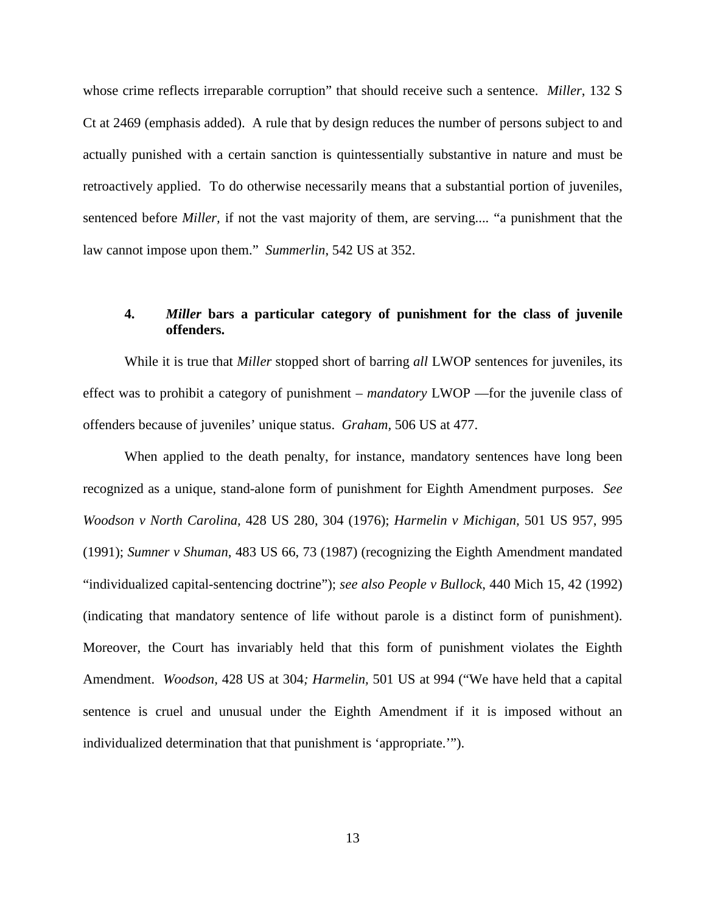whose crime reflects irreparable corruption" that should receive such a sentence. *Miller*, 132 S Ct at 2469 (emphasis added). A rule that by design reduces the number of persons subject to and actually punished with a certain sanction is quintessentially substantive in nature and must be retroactively applied. To do otherwise necessarily means that a substantial portion of juveniles, sentenced before *Miller,* if not the vast majority of them, are serving.... "a punishment that the law cannot impose upon them." *Summerlin*, 542 US at 352.

## **4.** *Miller* **bars a particular category of punishment for the class of juvenile offenders.**

While it is true that *Miller* stopped short of barring *all* LWOP sentences for juveniles, its effect was to prohibit a category of punishment – *mandatory* LWOP —for the juvenile class of offenders because of juveniles' unique status. *Graham,* 506 US at 477.

When applied to the death penalty, for instance, mandatory sentences have long been recognized as a unique, stand-alone form of punishment for Eighth Amendment purposes. *See Woodson v North Carolina,* 428 US 280, 304 (1976); *Harmelin v Michigan,* 501 US 957, 995 (1991); *Sumner v Shuman*, 483 US 66, 73 (1987) (recognizing the Eighth Amendment mandated "individualized capital-sentencing doctrine"); *see also People v Bullock*, 440 Mich 15, 42 (1992) (indicating that mandatory sentence of life without parole is a distinct form of punishment). Moreover, the Court has invariably held that this form of punishment violates the Eighth Amendment. *Woodson,* 428 US at 304*; Harmelin,* 501 US at 994 ("We have held that a capital sentence is cruel and unusual under the Eighth Amendment if it is imposed without an individualized determination that that punishment is 'appropriate.'").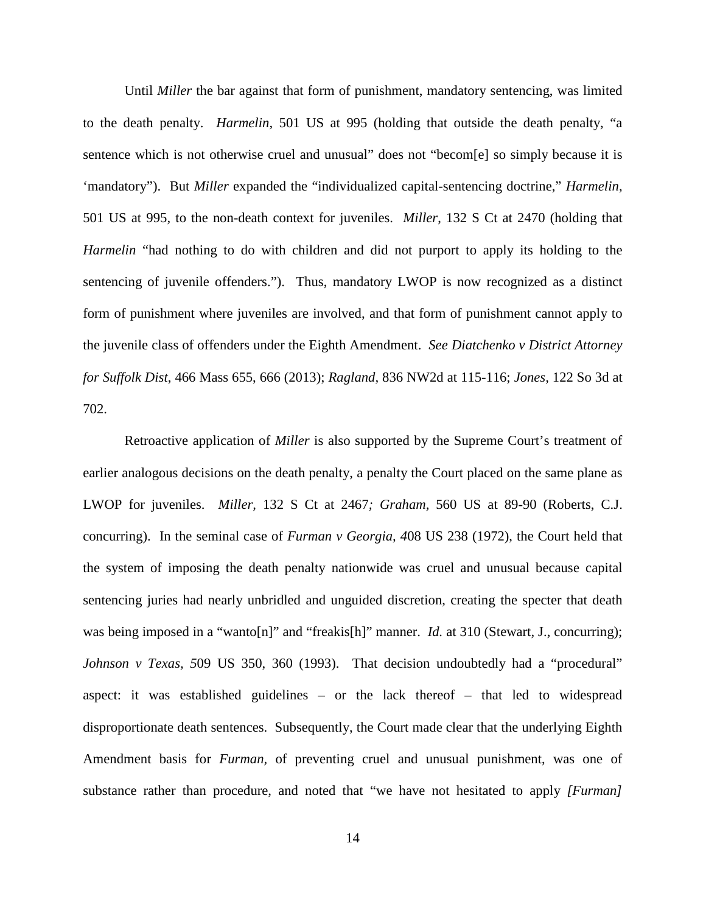Until *Miller* the bar against that form of punishment, mandatory sentencing, was limited to the death penalty. *Harmelin,* 501 US at 995 (holding that outside the death penalty, "a sentence which is not otherwise cruel and unusual" does not "becom[e] so simply because it is 'mandatory"). But *Miller* expanded the "individualized capital-sentencing doctrine," *Harmelin,*  501 US at 995, to the non-death context for juveniles. *Miller*, 132 S Ct at 2470 (holding that *Harmelin* "had nothing to do with children and did not purport to apply its holding to the sentencing of juvenile offenders."). Thus, mandatory LWOP is now recognized as a distinct form of punishment where juveniles are involved, and that form of punishment cannot apply to the juvenile class of offenders under the Eighth Amendment. *See Diatchenko v District Attorney for Suffolk Dist*, 466 Mass 655, 666 (2013); *Ragland,* 836 NW2d at 115-116; *Jones,* 122 So 3d at 702.

Retroactive application of *Miller* is also supported by the Supreme Court's treatment of earlier analogous decisions on the death penalty, a penalty the Court placed on the same plane as LWOP for juveniles. *Miller,* 132 S Ct at 2467*; Graham,* 560 US at 89-90 (Roberts, C.J. concurring). In the seminal case of *Furman v Georgia, 4*08 US 238 (1972), the Court held that the system of imposing the death penalty nationwide was cruel and unusual because capital sentencing juries had nearly unbridled and unguided discretion, creating the specter that death was being imposed in a "wanto[n]" and "freakis[h]" manner. *Id.* at 310 (Stewart, J., concurring); *Johnson v Texas, 509 US 350, 360 (1993).* That decision undoubtedly had a "procedural" aspect: it was established guidelines – or the lack thereof – that led to widespread disproportionate death sentences. Subsequently, the Court made clear that the underlying Eighth Amendment basis for *Furman,* of preventing cruel and unusual punishment, was one of substance rather than procedure, and noted that "we have not hesitated to apply *[Furman]*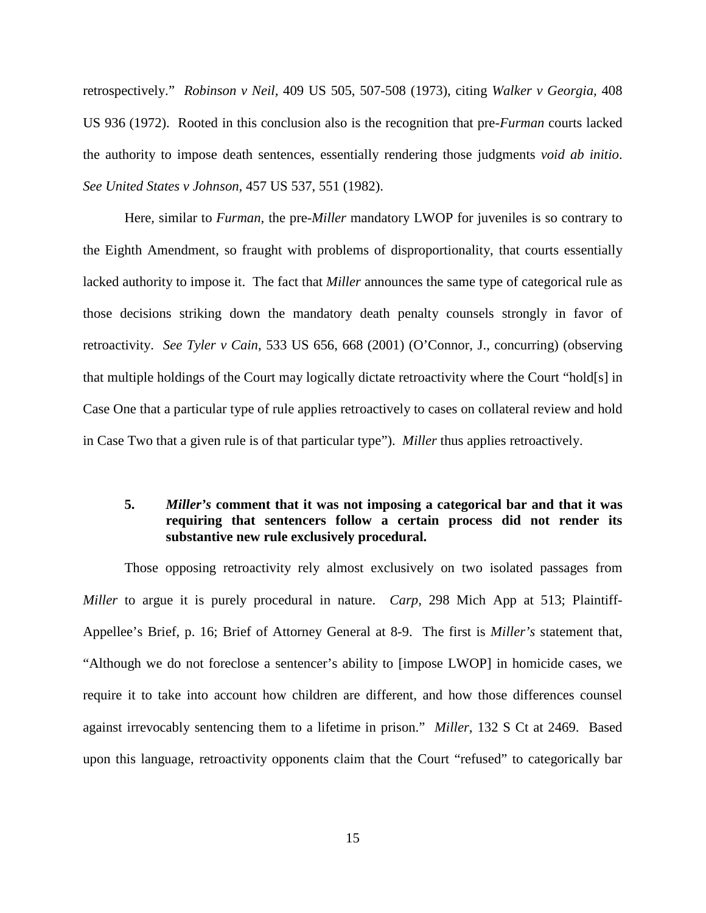retrospectively." *Robinson v Neil,* 409 US 505, 507-508 (1973), citing *Walker v Georgia,* 408 US 936 (1972). Rooted in this conclusion also is the recognition that pre*-Furman* courts lacked the authority to impose death sentences, essentially rendering those judgments *void ab initio*. *See United States v Johnson,* 457 US 537, 551 (1982).

Here*,* similar to *Furman,* the pre-*Miller* mandatory LWOP for juveniles is so contrary to the Eighth Amendment, so fraught with problems of disproportionality, that courts essentially lacked authority to impose it. The fact that *Miller* announces the same type of categorical rule as those decisions striking down the mandatory death penalty counsels strongly in favor of retroactivity. *See Tyler v Cain*, 533 US 656, 668 (2001) (O'Connor, J., concurring) (observing that multiple holdings of the Court may logically dictate retroactivity where the Court "hold[s] in Case One that a particular type of rule applies retroactively to cases on collateral review and hold in Case Two that a given rule is of that particular type"). *Miller* thus applies retroactively.

## **5.** *Miller's* **comment that it was not imposing a categorical bar and that it was requiring that sentencers follow a certain process did not render its substantive new rule exclusively procedural.**

Those opposing retroactivity rely almost exclusively on two isolated passages from *Miller* to argue it is purely procedural in nature. *Carp,* 298 Mich App at 513; Plaintiff-Appellee's Brief, p. 16; Brief of Attorney General at 8-9. The first is *Miller's* statement that, "Although we do not foreclose a sentencer's ability to [impose LWOP] in homicide cases, we require it to take into account how children are different, and how those differences counsel against irrevocably sentencing them to a lifetime in prison." *Miller,* 132 S Ct at 2469. Based upon this language, retroactivity opponents claim that the Court "refused" to categorically bar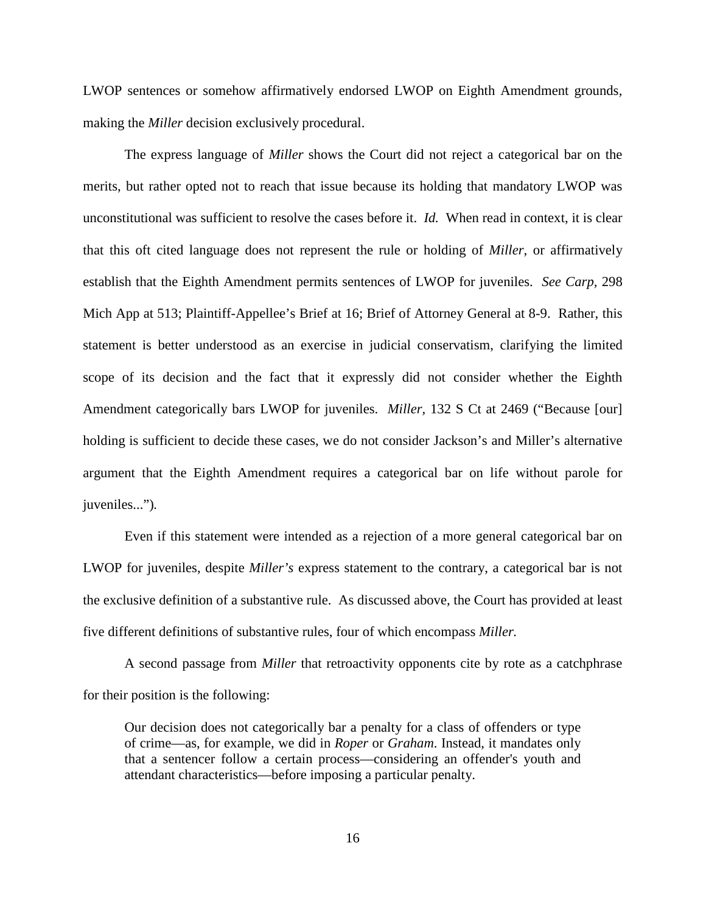LWOP sentences or somehow affirmatively endorsed LWOP on Eighth Amendment grounds, making the *Miller* decision exclusively procedural.

The express language of *Miller* shows the Court did not reject a categorical bar on the merits, but rather opted not to reach that issue because its holding that mandatory LWOP was unconstitutional was sufficient to resolve the cases before it. *Id.* When read in context, it is clear that this oft cited language does not represent the rule or holding of *Miller*, or affirmatively establish that the Eighth Amendment permits sentences of LWOP for juveniles. *See Carp,* 298 Mich App at 513; Plaintiff-Appellee's Brief at 16; Brief of Attorney General at 8-9. Rather, this statement is better understood as an exercise in judicial conservatism, clarifying the limited scope of its decision and the fact that it expressly did not consider whether the Eighth Amendment categorically bars LWOP for juveniles. *Miller,* 132 S Ct at 2469 ("Because [our] holding is sufficient to decide these cases, we do not consider Jackson's and Miller's alternative argument that the Eighth Amendment requires a categorical bar on life without parole for juveniles...")*.*

Even if this statement were intended as a rejection of a more general categorical bar on LWOP for juveniles, despite *Miller's* express statement to the contrary, a categorical bar is not the exclusive definition of a substantive rule. As discussed above, the Court has provided at least five different definitions of substantive rules, four of which encompass *Miller.*

A second passage from *Miller* that retroactivity opponents cite by rote as a catchphrase for their position is the following:

Our decision does not categorically bar a penalty for a class of offenders or type of crime—as, for example, we did in *Roper* or *Graham*. Instead, it mandates only that a sentencer follow a certain process—considering an offender's youth and attendant characteristics—before imposing a particular penalty.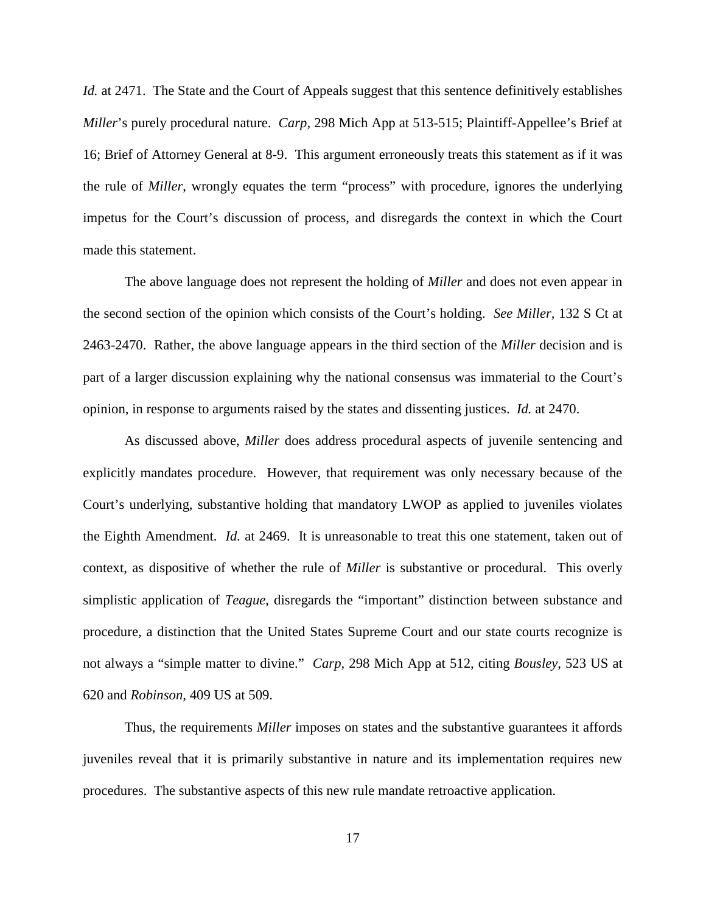*Id.* at 2471. The State and the Court of Appeals suggest that this sentence definitively establishes *Miller*'s purely procedural nature. *Carp,* 298 Mich App at 513-515; Plaintiff-Appellee's Brief at 16; Brief of Attorney General at 8-9. This argument erroneously treats this statement as if it was the rule of *Miller*, wrongly equates the term "process" with procedure, ignores the underlying impetus for the Court's discussion of process, and disregards the context in which the Court made this statement.

The above language does not represent the holding of *Miller* and does not even appear in the second section of the opinion which consists of the Court's holding. *See Miller,* 132 S Ct at 2463-2470. Rather, the above language appears in the third section of the *Miller* decision and is part of a larger discussion explaining why the national consensus was immaterial to the Court's opinion, in response to arguments raised by the states and dissenting justices. *Id.* at 2470.

As discussed above, *Miller* does address procedural aspects of juvenile sentencing and explicitly mandates procedure. However, that requirement was only necessary because of the Court's underlying, substantive holding that mandatory LWOP as applied to juveniles violates the Eighth Amendment. *Id.* at 2469. It is unreasonable to treat this one statement, taken out of context, as dispositive of whether the rule of *Miller* is substantive or procedural. This overly simplistic application of *Teague*, disregards the "important" distinction between substance and procedure, a distinction that the United States Supreme Court and our state courts recognize is not always a "simple matter to divine." *Carp,* 298 Mich App at 512, citing *Bousley*, 523 US at 620 and *Robinson,* 409 US at 509.

Thus, the requirements *Miller* imposes on states and the substantive guarantees it affords juveniles reveal that it is primarily substantive in nature and its implementation requires new procedures. The substantive aspects of this new rule mandate retroactive application.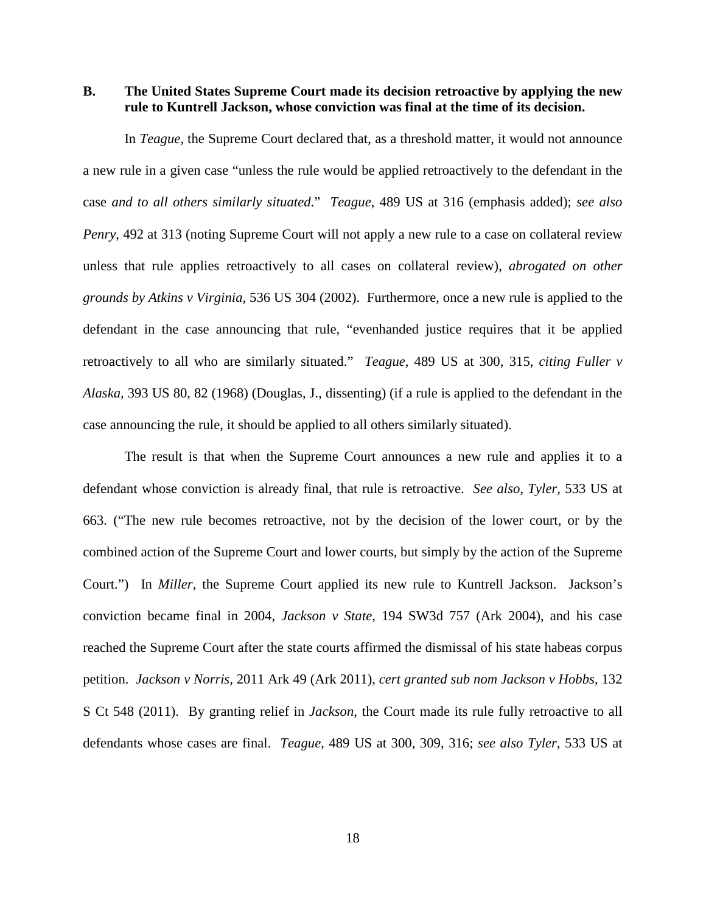**B. The United States Supreme Court made its decision retroactive by applying the new rule to Kuntrell Jackson, whose conviction was final at the time of its decision.**

In *Teague,* the Supreme Court declared that, as a threshold matter, it would not announce a new rule in a given case "unless the rule would be applied retroactively to the defendant in the case *and to all others similarly situated*." *Teague*, 489 US at 316 (emphasis added); *see also Penry*, 492 at 313 (noting Supreme Court will not apply a new rule to a case on collateral review unless that rule applies retroactively to all cases on collateral review), *abrogated on other grounds by Atkins v Virginia*, 536 US 304 (2002). Furthermore, once a new rule is applied to the defendant in the case announcing that rule, "evenhanded justice requires that it be applied retroactively to all who are similarly situated." *Teague,* 489 US at 300, 315, *citing Fuller v Alaska,* 393 US 80, 82 (1968) (Douglas, J., dissenting) (if a rule is applied to the defendant in the case announcing the rule, it should be applied to all others similarly situated).

The result is that when the Supreme Court announces a new rule and applies it to a defendant whose conviction is already final, that rule is retroactive. *See also, Tyler,* 533 US at 663. ("The new rule becomes retroactive, not by the decision of the lower court, or by the combined action of the Supreme Court and lower courts, but simply by the action of the Supreme Court.") In *Miller*, the Supreme Court applied its new rule to Kuntrell Jackson. Jackson's conviction became final in 2004, *Jackson v State*, 194 SW3d 757 (Ark 2004), and his case reached the Supreme Court after the state courts affirmed the dismissal of his state habeas corpus petition. *Jackson v Norris*, 2011 Ark 49 (Ark 2011), *cert granted sub nom Jackson v Hobbs*, 132 S Ct 548 (2011). By granting relief in *Jackson*, the Court made its rule fully retroactive to all defendants whose cases are final. *Teague*, 489 US at 300, 309, 316; *see also Tyler,* 533 US at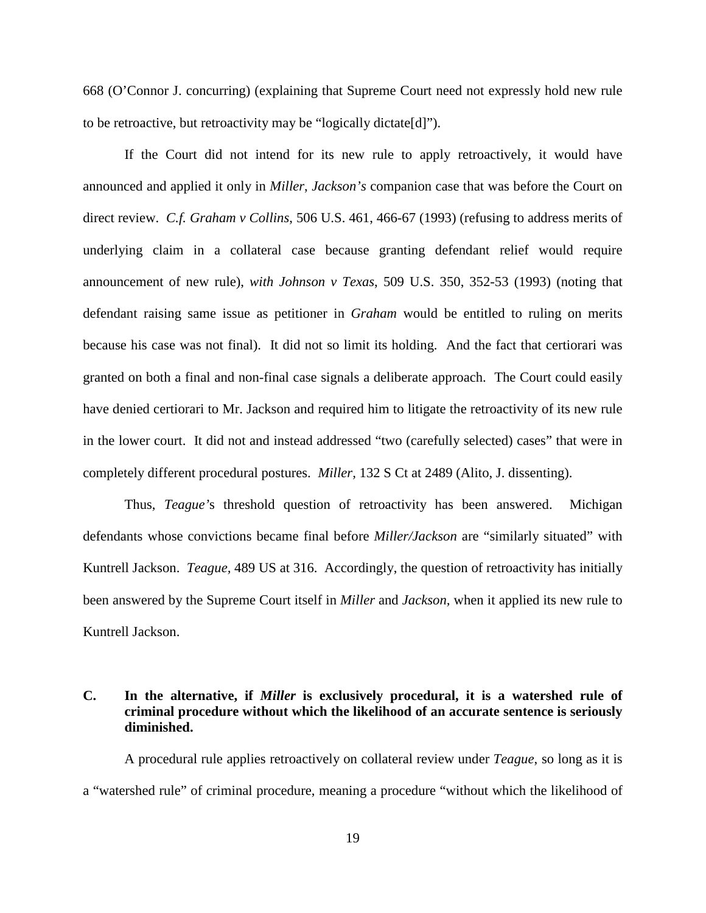668 (O'Connor J. concurring) (explaining that Supreme Court need not expressly hold new rule to be retroactive, but retroactivity may be "logically dictate[d]").

If the Court did not intend for its new rule to apply retroactively, it would have announced and applied it only in *Miller*, *Jackson's* companion case that was before the Court on direct review. *C.f. Graham v Collins*, 506 U.S. 461, 466-67 (1993) (refusing to address merits of underlying claim in a collateral case because granting defendant relief would require announcement of new rule), *with Johnson v Texas*, 509 U.S. 350, 352-53 (1993) (noting that defendant raising same issue as petitioner in *Graham* would be entitled to ruling on merits because his case was not final). It did not so limit its holding. And the fact that certiorari was granted on both a final and non-final case signals a deliberate approach. The Court could easily have denied certiorari to Mr. Jackson and required him to litigate the retroactivity of its new rule in the lower court. It did not and instead addressed "two (carefully selected) cases" that were in completely different procedural postures. *Miller,* 132 S Ct at 2489 (Alito, J. dissenting).

Thus, *Teague'*s threshold question of retroactivity has been answered. Michigan defendants whose convictions became final before *Miller/Jackson* are "similarly situated" with Kuntrell Jackson. *Teague,* 489 US at 316. Accordingly, the question of retroactivity has initially been answered by the Supreme Court itself in *Miller* and *Jackson,* when it applied its new rule to Kuntrell Jackson.

#### **C. In the alternative, if** *Miller* **is exclusively procedural, it is a watershed rule of criminal procedure without which the likelihood of an accurate sentence is seriously diminished.**

A procedural rule applies retroactively on collateral review under *Teague*, so long as it is a "watershed rule" of criminal procedure, meaning a procedure "without which the likelihood of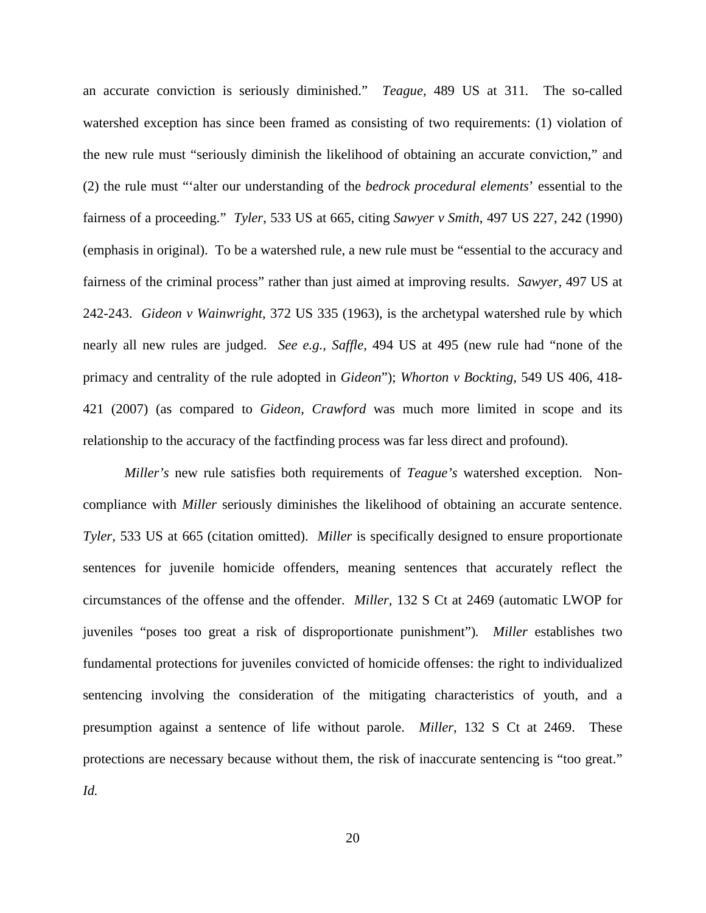an accurate conviction is seriously diminished." *Teague,* 489 US at 311*.* The so-called watershed exception has since been framed as consisting of two requirements: (1) violation of the new rule must "seriously diminish the likelihood of obtaining an accurate conviction," and (2) the rule must "'alter our understanding of the *bedrock procedural elements*' essential to the fairness of a proceeding." *Tyler*, 533 US at 665, citing *Sawyer v Smith*, 497 US 227, 242 (1990) (emphasis in original). To be a watershed rule, a new rule must be "essential to the accuracy and fairness of the criminal process" rather than just aimed at improving results. *Sawyer,* 497 US at 242-243. *Gideon v Wainwright*, 372 US 335 (1963), is the archetypal watershed rule by which nearly all new rules are judged. *See e.g., Saffle,* 494 US at 495 (new rule had "none of the primacy and centrality of the rule adopted in *Gideon*"); *Whorton v Bockting*, 549 US 406, 418- 421 (2007) (as compared to *Gideon*, *Crawford* was much more limited in scope and its relationship to the accuracy of the factfinding process was far less direct and profound).

*Miller's* new rule satisfies both requirements of *Teague's* watershed exception. Noncompliance with *Miller* seriously diminishes the likelihood of obtaining an accurate sentence. *Tyler,* 533 US at 665 (citation omitted). *Miller* is specifically designed to ensure proportionate sentences for juvenile homicide offenders, meaning sentences that accurately reflect the circumstances of the offense and the offender. *Miller,* 132 S Ct at 2469 (automatic LWOP for juveniles "poses too great a risk of disproportionate punishment")*. Miller* establishes two fundamental protections for juveniles convicted of homicide offenses: the right to individualized sentencing involving the consideration of the mitigating characteristics of youth, and a presumption against a sentence of life without parole. *Miller,* 132 S Ct at 2469. These protections are necessary because without them, the risk of inaccurate sentencing is "too great." *Id.*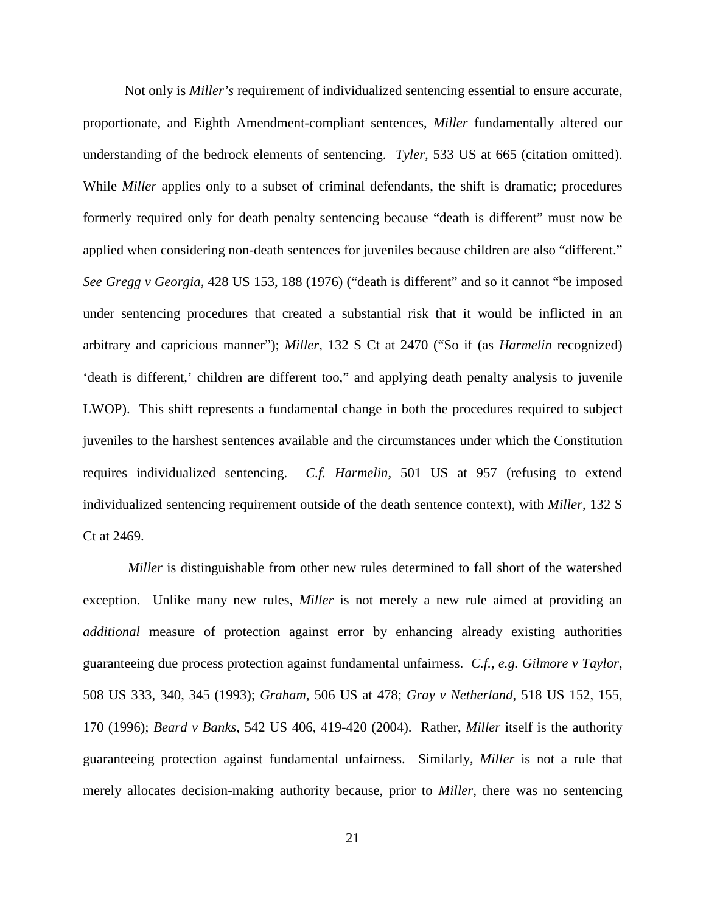Not only is *Miller's* requirement of individualized sentencing essential to ensure accurate, proportionate, and Eighth Amendment-compliant sentences, *Miller* fundamentally altered our understanding of the bedrock elements of sentencing. *Tyler,* 533 US at 665 (citation omitted). While *Miller* applies only to a subset of criminal defendants, the shift is dramatic; procedures formerly required only for death penalty sentencing because "death is different" must now be applied when considering non-death sentences for juveniles because children are also "different." *See Gregg v Georgia,* 428 US 153, 188 (1976) ("death is different" and so it cannot "be imposed under sentencing procedures that created a substantial risk that it would be inflicted in an arbitrary and capricious manner"); *Miller,* 132 S Ct at 2470 ("So if (as *Harmelin* recognized) 'death is different,' children are different too," and applying death penalty analysis to juvenile LWOP). This shift represents a fundamental change in both the procedures required to subject juveniles to the harshest sentences available and the circumstances under which the Constitution requires individualized sentencing. *C.f. Harmelin*, 501 US at 957 (refusing to extend individualized sentencing requirement outside of the death sentence context), with *Miller*, 132 S Ct at 2469.

*Miller* is distinguishable from other new rules determined to fall short of the watershed exception. Unlike many new rules, *Miller* is not merely a new rule aimed at providing an *additional* measure of protection against error by enhancing already existing authorities guaranteeing due process protection against fundamental unfairness. *C.f., e.g. Gilmore v Taylor*, 508 US 333, 340, 345 (1993); *Graham*, 506 US at 478; *Gray v Netherland*, 518 US 152, 155, 170 (1996); *Beard v Banks*, 542 US 406, 419-420 (2004). Rather, *Miller* itself is the authority guaranteeing protection against fundamental unfairness. Similarly, *Miller* is not a rule that merely allocates decision-making authority because, prior to *Miller,* there was no sentencing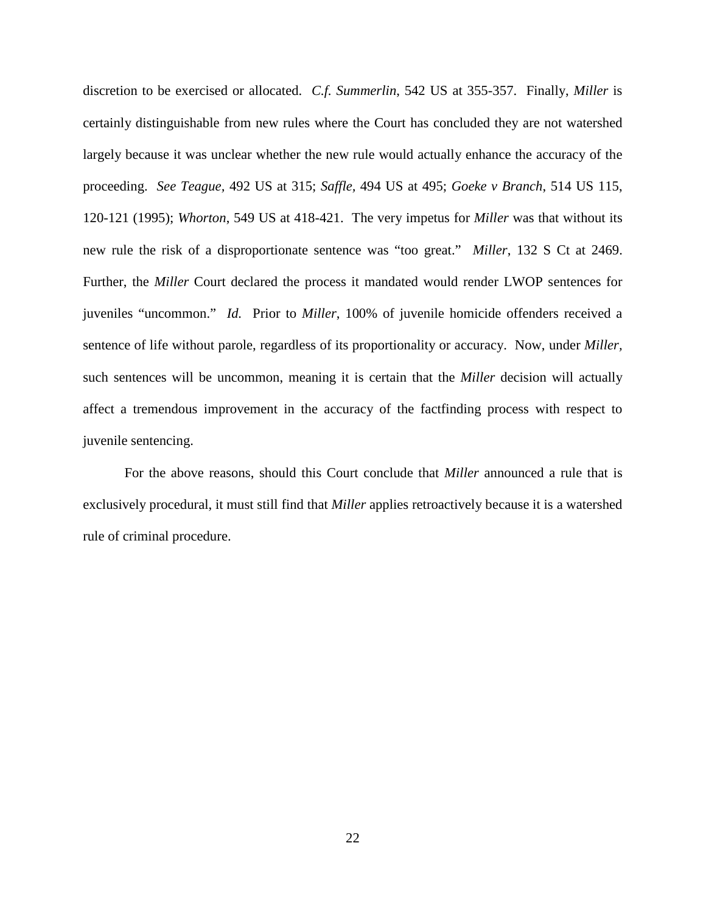discretion to be exercised or allocated. *C.f. Summerlin*, 542 US at 355-357. Finally, *Miller* is certainly distinguishable from new rules where the Court has concluded they are not watershed largely because it was unclear whether the new rule would actually enhance the accuracy of the proceeding. *See Teague,* 492 US at 315; *Saffle,* 494 US at 495; *Goeke v Branch*, 514 US 115, 120-121 (1995); *Whorton*, 549 US at 418-421. The very impetus for *Miller* was that without its new rule the risk of a disproportionate sentence was "too great." *Miller*, 132 S Ct at 2469. Further, the *Miller* Court declared the process it mandated would render LWOP sentences for juveniles "uncommon." *Id.* Prior to *Miller*, 100% of juvenile homicide offenders received a sentence of life without parole, regardless of its proportionality or accuracy. Now, under *Miller,* such sentences will be uncommon, meaning it is certain that the *Miller* decision will actually affect a tremendous improvement in the accuracy of the factfinding process with respect to juvenile sentencing.

For the above reasons, should this Court conclude that *Miller* announced a rule that is exclusively procedural, it must still find that *Miller* applies retroactively because it is a watershed rule of criminal procedure.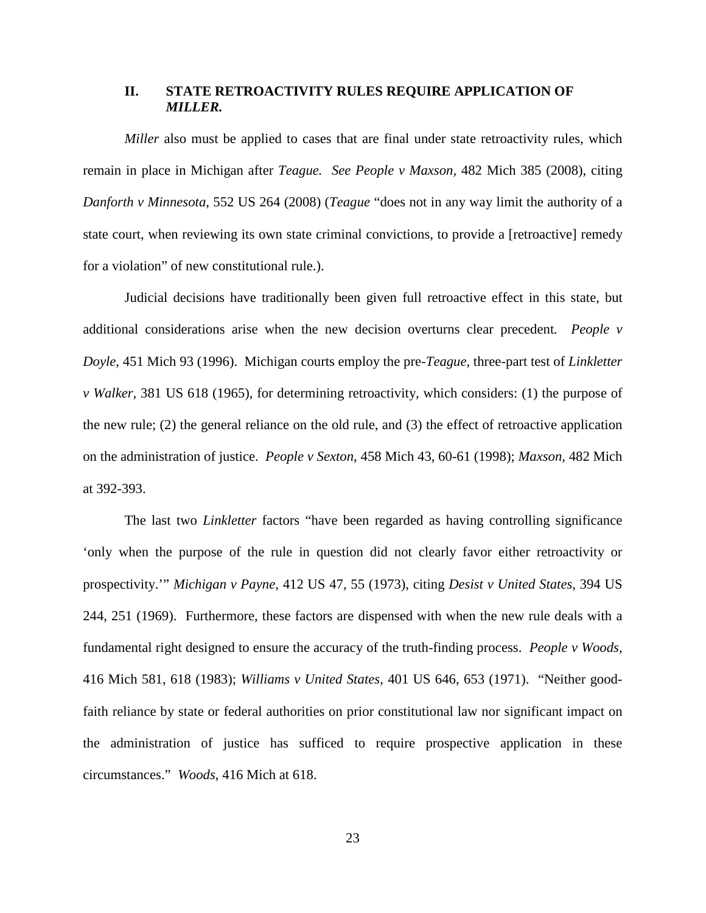#### **II. STATE RETROACTIVITY RULES REQUIRE APPLICATION OF**  *MILLER.*

*Miller* also must be applied to cases that are final under state retroactivity rules, which remain in place in Michigan after *Teague. See People v Maxson,* 482 Mich 385 (2008), citing *Danforth v Minnesota*, 552 US 264 (2008) (*Teague* "does not in any way limit the authority of a state court, when reviewing its own state criminal convictions, to provide a [retroactive] remedy for a violation" of new constitutional rule.).

Judicial decisions have traditionally been given full retroactive effect in this state, but additional considerations arise when the new decision overturns clear precedent*. People v Doyle*, 451 Mich 93 (1996). Michigan courts employ the pre-*Teague,* three-part test of *Linkletter v Walker,* 381 US 618 (1965), for determining retroactivity, which considers: (1) the purpose of the new rule; (2) the general reliance on the old rule, and (3) the effect of retroactive application on the administration of justice. *People v Sexton*, 458 Mich 43, 60-61 (1998); *Maxson,* 482 Mich at 392-393.

The last two *Linkletter* factors "have been regarded as having controlling significance 'only when the purpose of the rule in question did not clearly favor either retroactivity or prospectivity.'" *Michigan v Payne*, 412 US 47, 55 (1973), citing *Desist v United States*, 394 US 244, 251 (1969). Furthermore, these factors are dispensed with when the new rule deals with a fundamental right designed to ensure the accuracy of the truth-finding process. *People v Woods,*  416 Mich 581, 618 (1983); *Williams v United States*, 401 US 646, 653 (1971). "Neither goodfaith reliance by state or federal authorities on prior constitutional law nor significant impact on the administration of justice has sufficed to require prospective application in these circumstances." *Woods*, 416 Mich at 618.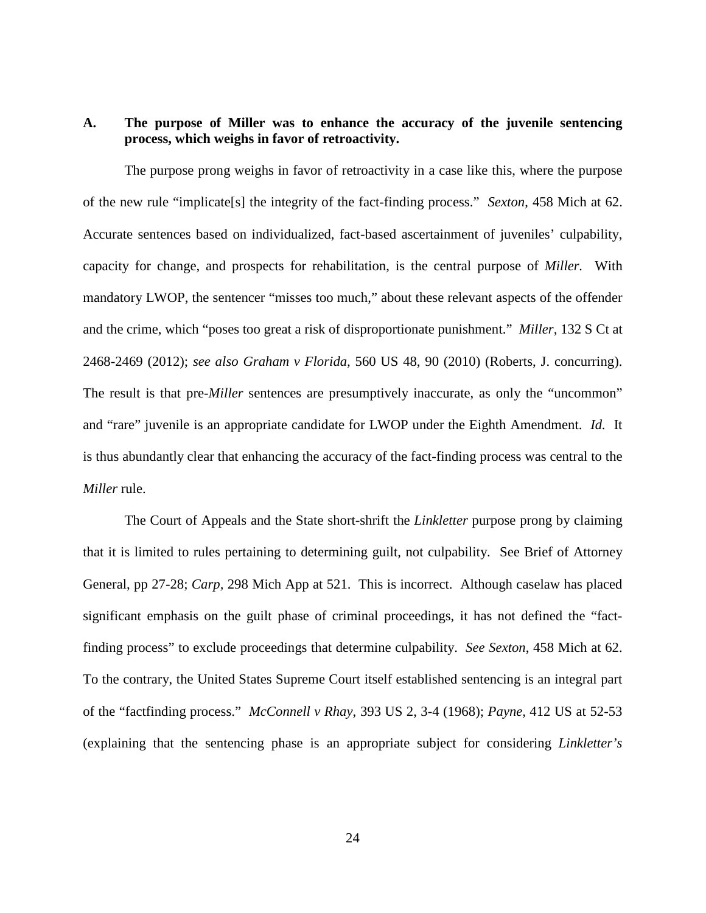## **A. The purpose of Miller was to enhance the accuracy of the juvenile sentencing process, which weighs in favor of retroactivity.**

The purpose prong weighs in favor of retroactivity in a case like this, where the purpose of the new rule "implicate[s] the integrity of the fact-finding process." *Sexton*, 458 Mich at 62. Accurate sentences based on individualized, fact-based ascertainment of juveniles' culpability, capacity for change, and prospects for rehabilitation, is the central purpose of *Miller.* With mandatory LWOP, the sentencer "misses too much," about these relevant aspects of the offender and the crime, which "poses too great a risk of disproportionate punishment." *Miller,* 132 S Ct at 2468-2469 (2012); *see also Graham v Florida,* 560 US 48, 90 (2010) (Roberts, J. concurring). The result is that pre-*Miller* sentences are presumptively inaccurate, as only the "uncommon" and "rare" juvenile is an appropriate candidate for LWOP under the Eighth Amendment. *Id.* It is thus abundantly clear that enhancing the accuracy of the fact-finding process was central to the *Miller* rule.

The Court of Appeals and the State short-shrift the *Linkletter* purpose prong by claiming that it is limited to rules pertaining to determining guilt, not culpability. See Brief of Attorney General, pp 27-28; *Carp,* 298 Mich App at 521. This is incorrect. Although caselaw has placed significant emphasis on the guilt phase of criminal proceedings, it has not defined the "factfinding process" to exclude proceedings that determine culpability. *See Sexton*, 458 Mich at 62. To the contrary, the United States Supreme Court itself established sentencing is an integral part of the "factfinding process." *McConnell v Rhay*, 393 US 2, 3-4 (1968); *Payne,* 412 US at 52-53 (explaining that the sentencing phase is an appropriate subject for considering *Linkletter's*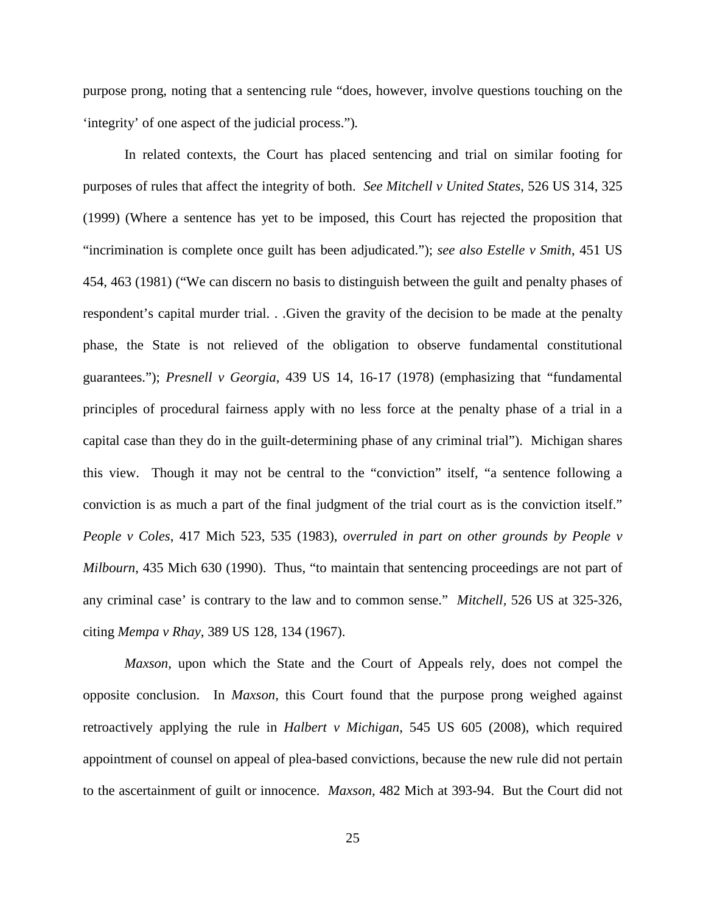purpose prong, noting that a sentencing rule "does, however, involve questions touching on the 'integrity' of one aspect of the judicial process.")*.* 

In related contexts, the Court has placed sentencing and trial on similar footing for purposes of rules that affect the integrity of both. *See Mitchell v United States*, 526 US 314, 325 (1999) (Where a sentence has yet to be imposed, this Court has rejected the proposition that "incrimination is complete once guilt has been adjudicated."); *see also Estelle v Smith*, 451 US 454, 463 (1981) ("We can discern no basis to distinguish between the guilt and penalty phases of respondent's capital murder trial. . .Given the gravity of the decision to be made at the penalty phase, the State is not relieved of the obligation to observe fundamental constitutional guarantees."); *Presnell v Georgia*, 439 US 14, 16-17 (1978) (emphasizing that "fundamental principles of procedural fairness apply with no less force at the penalty phase of a trial in a capital case than they do in the guilt-determining phase of any criminal trial"). Michigan shares this view. Though it may not be central to the "conviction" itself, "a sentence following a conviction is as much a part of the final judgment of the trial court as is the conviction itself." *People v Coles*, 417 Mich 523, 535 (1983), *overruled in part on other grounds by People v Milbourn*, 435 Mich 630 (1990). Thus, "to maintain that sentencing proceedings are not part of any criminal case' is contrary to the law and to common sense." *Mitchell,* 526 US at 325-326, citing *Mempa v Rhay*, 389 US 128, 134 (1967).

*Maxson*, upon which the State and the Court of Appeals rely, does not compel the opposite conclusion. In *Maxson,* this Court found that the purpose prong weighed against retroactively applying the rule in *Halbert v Michigan*, 545 US 605 (2008), which required appointment of counsel on appeal of plea-based convictions, because the new rule did not pertain to the ascertainment of guilt or innocence. *Maxson,* 482 Mich at 393-94. But the Court did not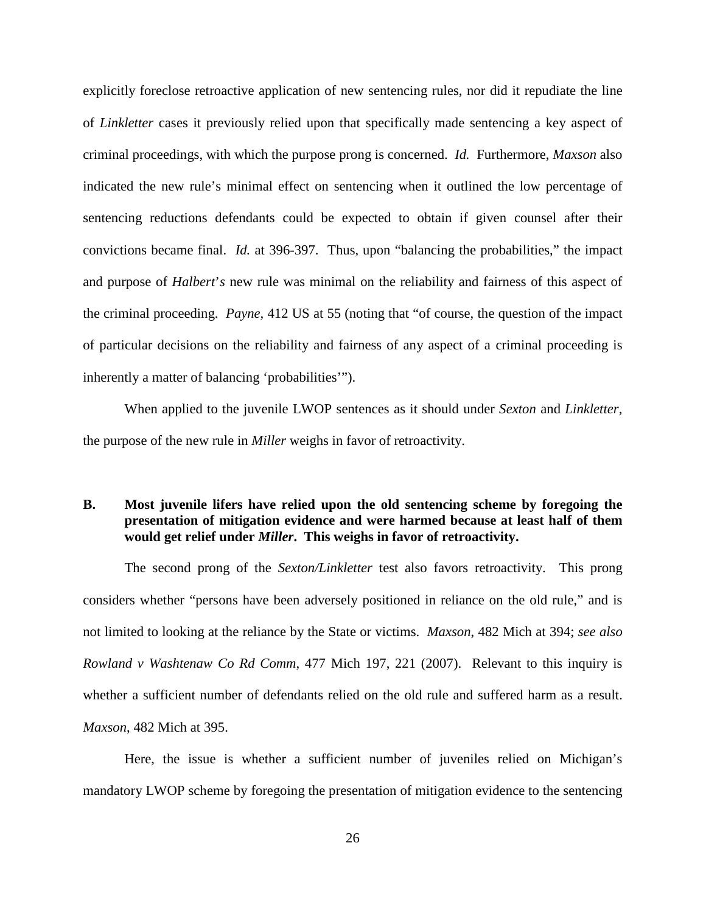explicitly foreclose retroactive application of new sentencing rules, nor did it repudiate the line of *Linkletter* cases it previously relied upon that specifically made sentencing a key aspect of criminal proceedings, with which the purpose prong is concerned. *Id.* Furthermore, *Maxson* also indicated the new rule's minimal effect on sentencing when it outlined the low percentage of sentencing reductions defendants could be expected to obtain if given counsel after their convictions became final. *Id.* at 396-397. Thus, upon "balancing the probabilities," the impact and purpose of *Halbert*'*s* new rule was minimal on the reliability and fairness of this aspect of the criminal proceeding. *Payne,* 412 US at 55 (noting that "of course, the question of the impact of particular decisions on the reliability and fairness of any aspect of a criminal proceeding is inherently a matter of balancing 'probabilities'").

When applied to the juvenile LWOP sentences as it should under *Sexton* and *Linkletter,*  the purpose of the new rule in *Miller* weighs in favor of retroactivity.

## **B. Most juvenile lifers have relied upon the old sentencing scheme by foregoing the presentation of mitigation evidence and were harmed because at least half of them would get relief under** *Miller***. This weighs in favor of retroactivity.**

The second prong of the *Sexton/Linkletter* test also favors retroactivity. This prong considers whether "persons have been adversely positioned in reliance on the old rule," and is not limited to looking at the reliance by the State or victims. *Maxson*, 482 Mich at 394; *see also Rowland v Washtenaw Co Rd Comm*, 477 Mich 197, 221 (2007). Relevant to this inquiry is whether a sufficient number of defendants relied on the old rule and suffered harm as a result. *Maxson*, 482 Mich at 395.

Here, the issue is whether a sufficient number of juveniles relied on Michigan's mandatory LWOP scheme by foregoing the presentation of mitigation evidence to the sentencing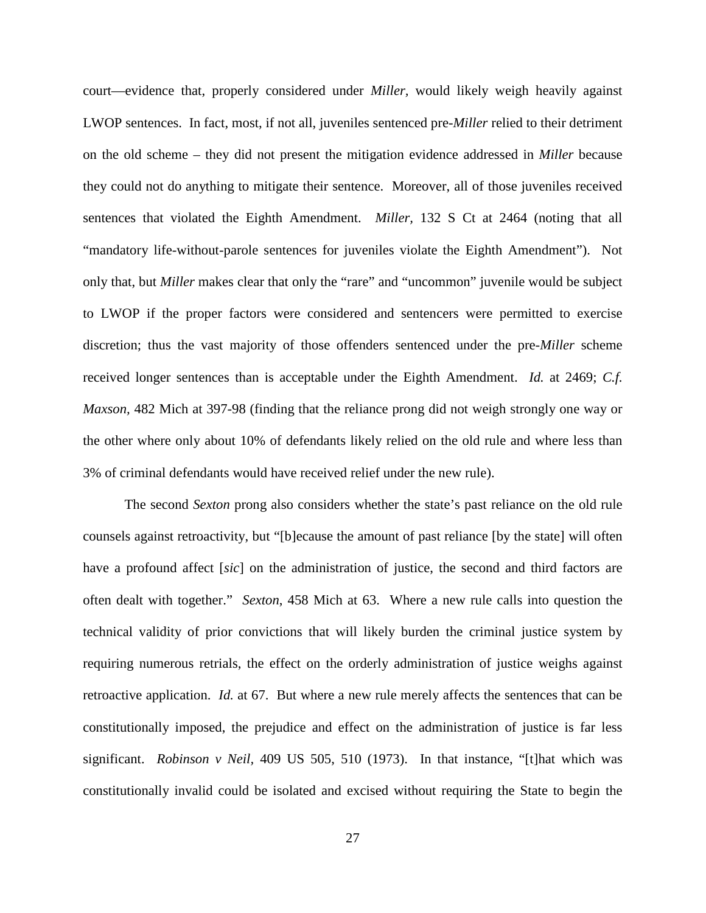court—evidence that, properly considered under *Miller,* would likely weigh heavily against LWOP sentences. In fact, most, if not all, juveniles sentenced pre-*Miller* relied to their detriment on the old scheme – they did not present the mitigation evidence addressed in *Miller* because they could not do anything to mitigate their sentence. Moreover, all of those juveniles received sentences that violated the Eighth Amendment. *Miller,* 132 S Ct at 2464 (noting that all "mandatory life-without-parole sentences for juveniles violate the Eighth Amendment"). Not only that, but *Miller* makes clear that only the "rare" and "uncommon" juvenile would be subject to LWOP if the proper factors were considered and sentencers were permitted to exercise discretion; thus the vast majority of those offenders sentenced under the pre-*Miller* scheme received longer sentences than is acceptable under the Eighth Amendment. *Id.* at 2469; *C.f. Maxson,* 482 Mich at 397-98 (finding that the reliance prong did not weigh strongly one way or the other where only about 10% of defendants likely relied on the old rule and where less than 3% of criminal defendants would have received relief under the new rule).

The second *Sexton* prong also considers whether the state's past reliance on the old rule counsels against retroactivity, but "[b]ecause the amount of past reliance [by the state] will often have a profound affect [sic] on the administration of justice, the second and third factors are often dealt with together." *Sexton*, 458 Mich at 63. Where a new rule calls into question the technical validity of prior convictions that will likely burden the criminal justice system by requiring numerous retrials, the effect on the orderly administration of justice weighs against retroactive application. *Id.* at 67. But where a new rule merely affects the sentences that can be constitutionally imposed, the prejudice and effect on the administration of justice is far less significant. *Robinson v Neil,* 409 US 505, 510 (1973). In that instance, "[t]hat which was constitutionally invalid could be isolated and excised without requiring the State to begin the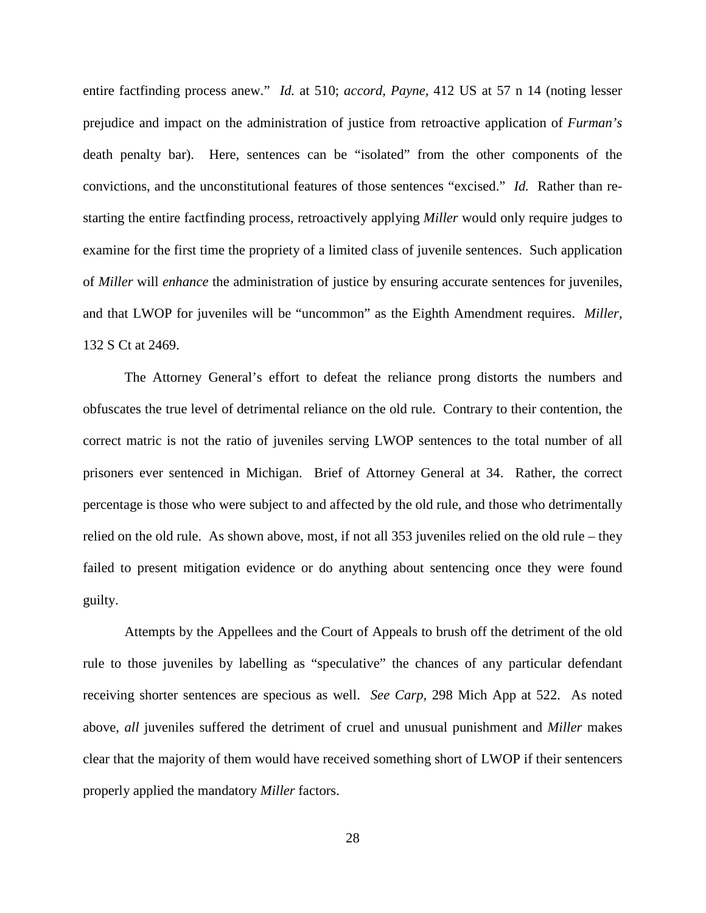entire factfinding process anew." *Id.* at 510; *accord, Payne,* 412 US at 57 n 14 (noting lesser prejudice and impact on the administration of justice from retroactive application of *Furman's*  death penalty bar). Here, sentences can be "isolated" from the other components of the convictions, and the unconstitutional features of those sentences "excised." *Id.* Rather than restarting the entire factfinding process, retroactively applying *Miller* would only require judges to examine for the first time the propriety of a limited class of juvenile sentences. Such application of *Miller* will *enhance* the administration of justice by ensuring accurate sentences for juveniles, and that LWOP for juveniles will be "uncommon" as the Eighth Amendment requires. *Miller*, 132 S Ct at 2469.

The Attorney General's effort to defeat the reliance prong distorts the numbers and obfuscates the true level of detrimental reliance on the old rule. Contrary to their contention, the correct matric is not the ratio of juveniles serving LWOP sentences to the total number of all prisoners ever sentenced in Michigan. Brief of Attorney General at 34. Rather, the correct percentage is those who were subject to and affected by the old rule, and those who detrimentally relied on the old rule. As shown above, most, if not all 353 juveniles relied on the old rule – they failed to present mitigation evidence or do anything about sentencing once they were found guilty.

Attempts by the Appellees and the Court of Appeals to brush off the detriment of the old rule to those juveniles by labelling as "speculative" the chances of any particular defendant receiving shorter sentences are specious as well. *See Carp,* 298 Mich App at 522. As noted above, *all* juveniles suffered the detriment of cruel and unusual punishment and *Miller* makes clear that the majority of them would have received something short of LWOP if their sentencers properly applied the mandatory *Miller* factors.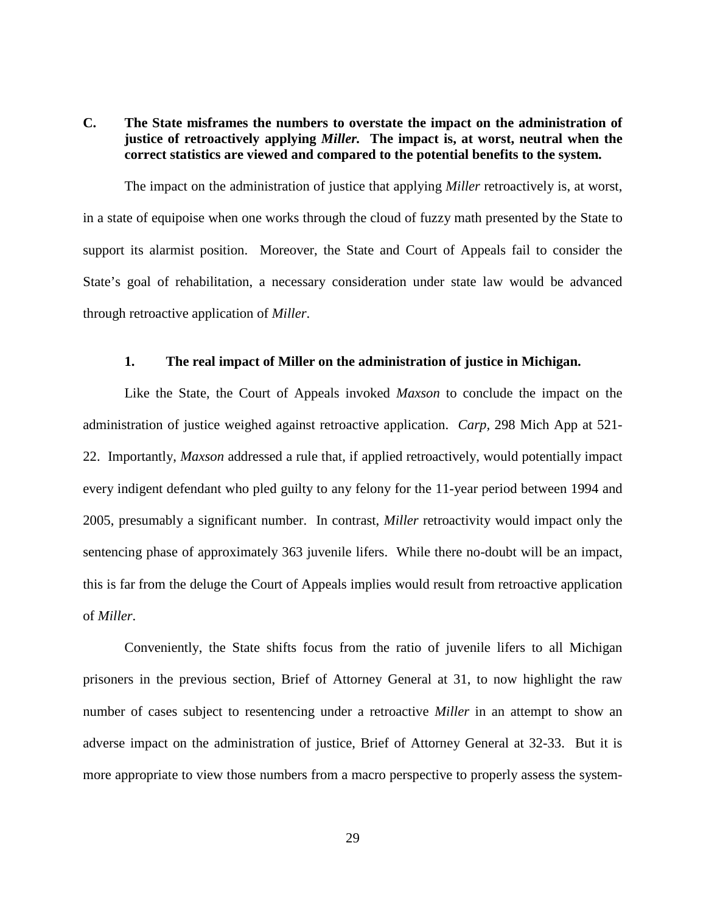## **C. The State misframes the numbers to overstate the impact on the administration of justice of retroactively applying** *Miller.* **The impact is, at worst, neutral when the correct statistics are viewed and compared to the potential benefits to the system.**

The impact on the administration of justice that applying *Miller* retroactively is, at worst, in a state of equipoise when one works through the cloud of fuzzy math presented by the State to support its alarmist position. Moreover, the State and Court of Appeals fail to consider the State's goal of rehabilitation, a necessary consideration under state law would be advanced through retroactive application of *Miller*.

#### **1. The real impact of Miller on the administration of justice in Michigan.**

Like the State, the Court of Appeals invoked *Maxson* to conclude the impact on the administration of justice weighed against retroactive application. *Carp,* 298 Mich App at 521- 22. Importantly, *Maxson* addressed a rule that, if applied retroactively, would potentially impact every indigent defendant who pled guilty to any felony for the 11-year period between 1994 and 2005, presumably a significant number. In contrast, *Miller* retroactivity would impact only the sentencing phase of approximately 363 juvenile lifers. While there no-doubt will be an impact, this is far from the deluge the Court of Appeals implies would result from retroactive application of *Miller*.

Conveniently, the State shifts focus from the ratio of juvenile lifers to all Michigan prisoners in the previous section, Brief of Attorney General at 31, to now highlight the raw number of cases subject to resentencing under a retroactive *Miller* in an attempt to show an adverse impact on the administration of justice, Brief of Attorney General at 32-33. But it is more appropriate to view those numbers from a macro perspective to properly assess the system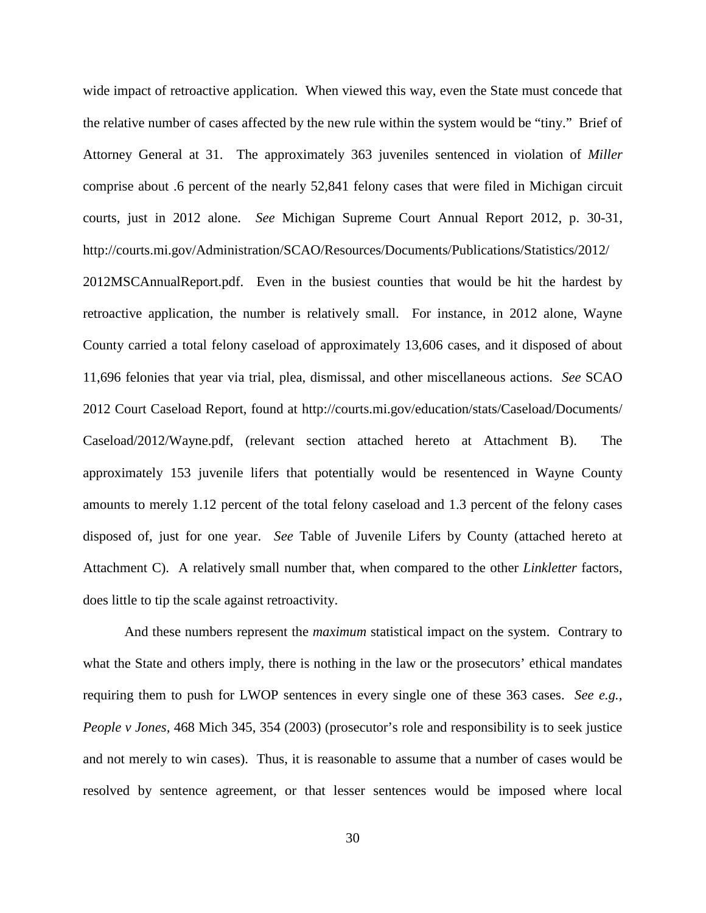wide impact of retroactive application. When viewed this way, even the State must concede that the relative number of cases affected by the new rule within the system would be "tiny." Brief of Attorney General at 31. The approximately 363 juveniles sentenced in violation of *Miller*  comprise about .6 percent of the nearly 52,841 felony cases that were filed in Michigan circuit courts, just in 2012 alone. *See* Michigan Supreme Court Annual Report 2012, p. 30-31, http://courts.mi.gov/Administration/SCAO/Resources/Documents/Publications/Statistics/2012/

2012MSCAnnualReport.pdf. Even in the busiest counties that would be hit the hardest by retroactive application, the number is relatively small. For instance, in 2012 alone, Wayne County carried a total felony caseload of approximately 13,606 cases, and it disposed of about 11,696 felonies that year via trial, plea, dismissal, and other miscellaneous actions. *See* SCAO 2012 Court Caseload Report, found at http://courts.mi.gov/education/stats/Caseload/Documents/ Caseload/2012/Wayne.pdf, (relevant section attached hereto at Attachment B). The approximately 153 juvenile lifers that potentially would be resentenced in Wayne County amounts to merely 1.12 percent of the total felony caseload and 1.3 percent of the felony cases disposed of, just for one year. *See* Table of Juvenile Lifers by County (attached hereto at Attachment C). A relatively small number that, when compared to the other *Linkletter* factors, does little to tip the scale against retroactivity.

And these numbers represent the *maximum* statistical impact on the system. Contrary to what the State and others imply, there is nothing in the law or the prosecutors' ethical mandates requiring them to push for LWOP sentences in every single one of these 363 cases. *See e.g., People v Jones,* 468 Mich 345, 354 (2003) (prosecutor's role and responsibility is to seek justice and not merely to win cases). Thus, it is reasonable to assume that a number of cases would be resolved by sentence agreement, or that lesser sentences would be imposed where local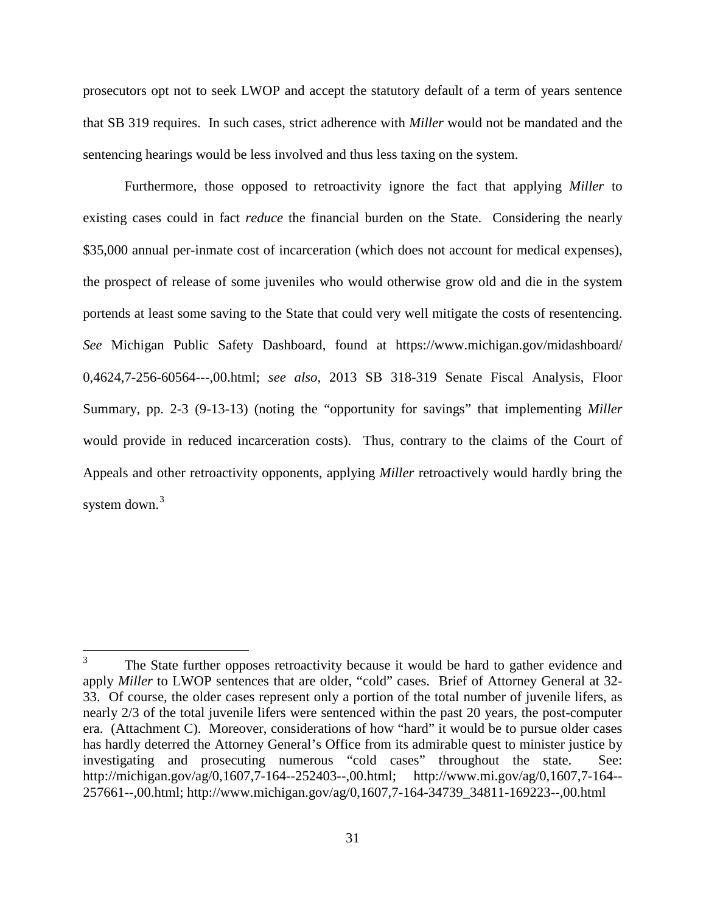prosecutors opt not to seek LWOP and accept the statutory default of a term of years sentence that SB 319 requires. In such cases, strict adherence with *Miller* would not be mandated and the sentencing hearings would be less involved and thus less taxing on the system.

Furthermore, those opposed to retroactivity ignore the fact that applying *Miller* to existing cases could in fact *reduce* the financial burden on the State. Considering the nearly \$35,000 annual per-inmate cost of incarceration (which does not account for medical expenses), the prospect of release of some juveniles who would otherwise grow old and die in the system portends at least some saving to the State that could very well mitigate the costs of resentencing. *See* Michigan Public Safety Dashboard, found at https://www.michigan.gov/midashboard/ 0,4624,7-256-60564---,00.html; *see also,* 2013 SB 318-319 Senate Fiscal Analysis, Floor Summary, pp. 2-3 (9-13-13) (noting the "opportunity for savings" that implementing *Miller*  would provide in reduced incarceration costs). Thus, contrary to the claims of the Court of Appeals and other retroactivity opponents, applying *Miller* retroactively would hardly bring the system down.<sup>[3](#page-36-0)</sup>

<span id="page-36-0"></span><sup>&</sup>lt;sup>3</sup> The State further opposes retroactivity because it would be hard to gather evidence and apply *Miller* to LWOP sentences that are older, "cold" cases. Brief of Attorney General at 32-33. Of course, the older cases represent only a portion of the total number of juvenile lifers, as nearly 2/3 of the total juvenile lifers were sentenced within the past 20 years, the post-computer era. (Attachment C). Moreover, considerations of how "hard" it would be to pursue older cases has hardly deterred the Attorney General's Office from its admirable quest to minister justice by investigating and prosecuting numerous "cold cases" throughout the state. See: http://michigan.gov/ag/0,1607,7-164--252403--,00.html; http://www.mi.gov/ag/0,1607,7-164-- 257661--,00.html; http://www.michigan.gov/ag/0,1607,7-164-34739\_34811-169223--,00.html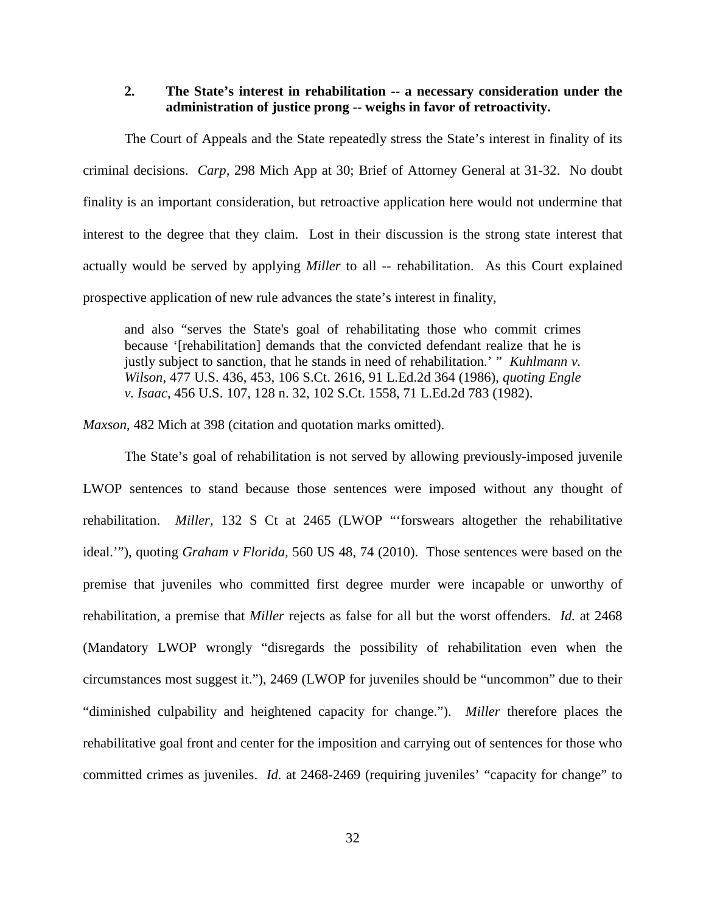#### **2. The State's interest in rehabilitation -- a necessary consideration under the administration of justice prong -- weighs in favor of retroactivity.**

The Court of Appeals and the State repeatedly stress the State's interest in finality of its criminal decisions. *Carp,* 298 Mich App at 30; Brief of Attorney General at 31-32. No doubt finality is an important consideration, but retroactive application here would not undermine that interest to the degree that they claim. Lost in their discussion is the strong state interest that actually would be served by applying *Miller* to all -- rehabilitation. As this Court explained prospective application of new rule advances the state's interest in finality,

and also "serves the State's goal of rehabilitating those who commit crimes because '[rehabilitation] demands that the convicted defendant realize that he is justly subject to sanction, that he stands in need of rehabilitation.' " *Kuhlmann v. Wilson*, 477 U.S. 436, 453, 106 S.Ct. 2616, 91 L.Ed.2d 364 (1986), *quoting Engle v. Isaac*, 456 U.S. 107, 128 n. 32, 102 S.Ct. 1558, 71 L.Ed.2d 783 (1982).

*Maxson,* 482 Mich at 398 (citation and quotation marks omitted).

The State's goal of rehabilitation is not served by allowing previously-imposed juvenile LWOP sentences to stand because those sentences were imposed without any thought of rehabilitation. *Miller,* 132 S Ct at 2465 (LWOP "'forswears altogether the rehabilitative ideal.'"), quoting *Graham v Florida,* 560 US 48, 74 (2010). Those sentences were based on the premise that juveniles who committed first degree murder were incapable or unworthy of rehabilitation, a premise that *Miller* rejects as false for all but the worst offenders. *Id.* at 2468 (Mandatory LWOP wrongly "disregards the possibility of rehabilitation even when the circumstances most suggest it."), 2469 (LWOP for juveniles should be "uncommon" due to their "diminished culpability and heightened capacity for change."). *Miller* therefore places the rehabilitative goal front and center for the imposition and carrying out of sentences for those who committed crimes as juveniles. *Id.* at 2468-2469 (requiring juveniles' "capacity for change" to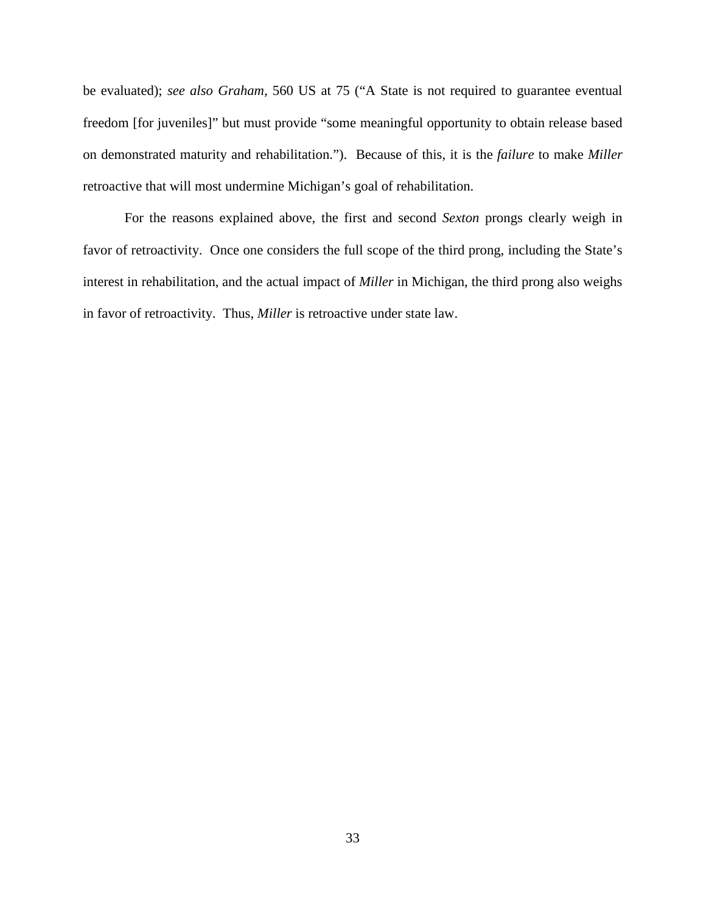be evaluated); *see also Graham,* 560 US at 75 ("A State is not required to guarantee eventual freedom [for juveniles]" but must provide "some meaningful opportunity to obtain release based on demonstrated maturity and rehabilitation."). Because of this, it is the *failure* to make *Miller*  retroactive that will most undermine Michigan's goal of rehabilitation.

For the reasons explained above, the first and second *Sexton* prongs clearly weigh in favor of retroactivity. Once one considers the full scope of the third prong, including the State's interest in rehabilitation, and the actual impact of *Miller* in Michigan, the third prong also weighs in favor of retroactivity. Thus, *Miller* is retroactive under state law.